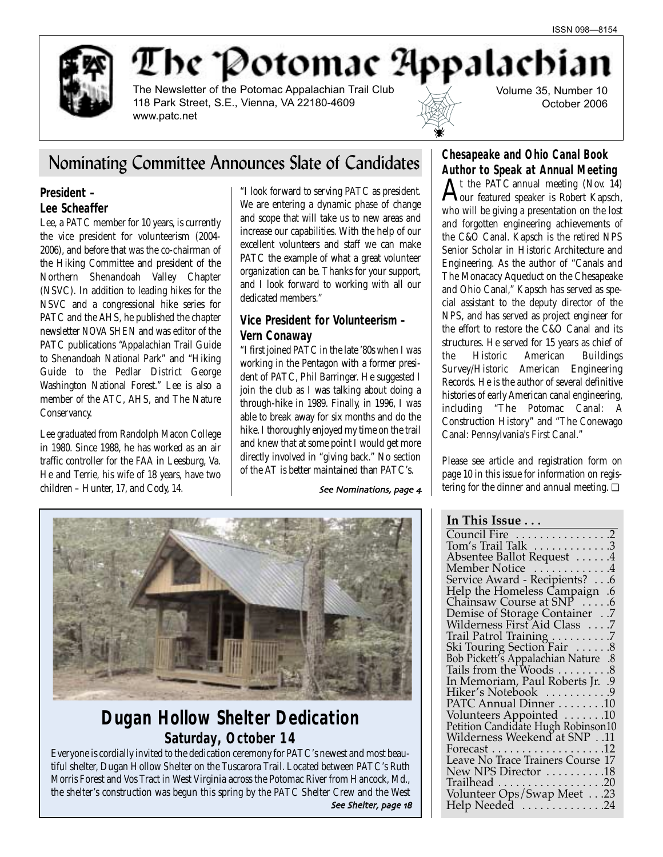

The Potomac Appalachia

The Newsletter of the Potomac Appalachian Trail Club 118 Park Street, S.E., Vienna, VA 22180-4609 www.patc.net

Volume 35, Number 10 October 2006

# Nominating Committee Announces Slate of Candidates

### **President – Lee Scheaffer**

Lee, a PATC member for 10 years, is currently the vice president for volunteerism (2004- 2006), and before that was the co-chairman of the Hiking Committee and president of the Northern Shenandoah Valley Chapter (NSVC). In addition to leading hikes for the NSVC and a congressional hike series for PATC and the AHS, he published the chapter newsletter *NOVA SHEN* and was editor of the PATC publications "Appalachian Trail Guide to Shenandoah National Park" and "Hiking Guide to the Pedlar District George Washington National Forest." Lee is also a member of the ATC, AHS, and The Nature Conservancy.

Lee graduated from Randolph Macon College in 1980. Since 1988, he has worked as an air traffic controller for the FAA in Leesburg, Va. He and Terrie, his wife of 18 years, have two children – Hunter, 17, and Cody, 14.

"I look forward to serving PATC as president. We are entering a dynamic phase of change and scope that will take us to new areas and increase our capabilities. With the help of our excellent volunteers and staff we can make PATC the example of what a great volunteer organization can be. Thanks for your support, and I look forward to working with all our dedicated members."

## **Vice President for Volunteerism – Vern Conaway**

"I first joined PATC in the late '80s when I was working in the Pentagon with a former president of PATC, Phil Barringer. He suggested I join the club as I was talking about doing a through-hike in 1989. Finally, in 1996, I was able to break away for six months and do the hike. I thoroughly enjoyed my time on the trail and knew that at some point I would get more directly involved in "giving back." No section of the AT is better maintained than PATC's.

See Nominations, page 4



# **Dugan Hollow Shelter Dedication** *Saturday, October 14*

Everyone is cordially invited to the dedication ceremony for PATC's newest and most beautiful shelter, Dugan Hollow Shelter on the Tuscarora Trail. Located between PATC's Ruth Morris Forest and Vos Tract in West Virginia across the Potomac River from Hancock, Md., the shelter's construction was begun this spring by the PATC Shelter Crew and the West See Shelter, page 18 **Chesapeake and Ohio Canal Book**

**Author to Speak at Annual Meeting**<br> **A** t the PATC annual meeting (Nov. 14)  ${\rm A}^{\rm t}$  the PATC annual meeting (Nov. 14)<br>Our featured speaker is Robert Kapsch, who will be giving a presentation on the lost and forgotten engineering achievements of the C&O Canal. Kapsch is the retired NPS Senior Scholar in Historic Architecture and Engineering. As the author of "Canals and The Monacacy Aqueduct on the Chesapeake and Ohio Canal," Kapsch has served as special assistant to the deputy director of the NPS, and has served as project engineer for the effort to restore the C&O Canal and its structures. He served for 15 years as chief of the Historic American Buildings Survey/Historic American Engineering Records. He is the author of several definitive histories of early American canal engineering, including "The Potomac Canal: A Construction History" and "The Conewago Canal: Pennsylvania's First Canal."

Please see article and registration form on page 10 in this issue for information on registering for the dinner and annual meeting. □

## **In This Issue . . .**

| Council Fire 2                                                                                |
|-----------------------------------------------------------------------------------------------|
| Tom's Trail Talk 3                                                                            |
| Absentee Ballot Request 4                                                                     |
| Member Notice 4                                                                               |
| Service Award - Recipients? 6                                                                 |
| Help the Homeless Campaign .6<br>Chainsaw Course at SNP 6                                     |
|                                                                                               |
|                                                                                               |
| Demise of Storage Container7<br>Wilderness First Aid Class7                                   |
| Trail Patrol Training 7                                                                       |
|                                                                                               |
| Ski Touring Section Fair  8<br>Bob Pickett's Appalachian Nature .8<br>Tails from the Woods  8 |
|                                                                                               |
| In Memoriam, Paul Roberts Jr. .9                                                              |
| Hiker's Notebook 9                                                                            |
| PATC Annual Dinner 10                                                                         |
| Volunteers Appointed 10                                                                       |
| Petition Candidate Hugh Robinson10                                                            |
| Wilderness Weekend at SNP11                                                                   |
| Forecast $\dots \dots \dots \dots \dots \dots \dots 12$                                       |
| Leave No Trace Trainers Course 17                                                             |
| New NPS Director 18                                                                           |
| $Trailhead \ldots \ldots \ldots \ldots \ldots \ldots 20$                                      |
|                                                                                               |
|                                                                                               |
|                                                                                               |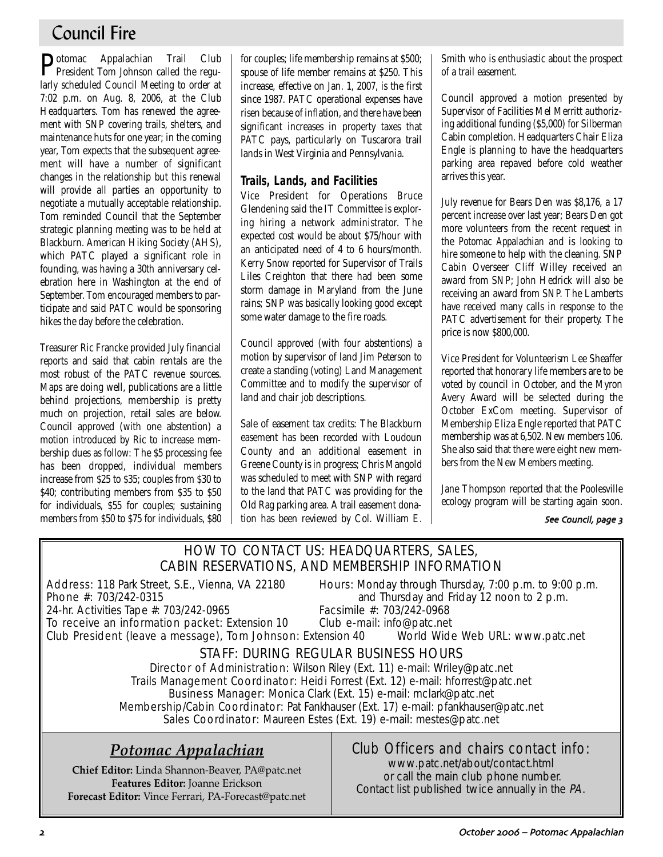# Council Fire

Potomac Appalachian Trail Club President Tom Johnson called the regularly scheduled Council Meeting to order at 7:02 p.m. on Aug. 8, 2006, at the Club Headquarters. Tom has renewed the agreement with SNP covering trails, shelters, and maintenance huts for one year; in the coming year, Tom expects that the subsequent agreement will have a number of significant changes in the relationship but this renewal will provide all parties an opportunity to negotiate a mutually acceptable relationship. Tom reminded Council that the September strategic planning meeting was to be held at Blackburn. American Hiking Society (AHS), which PATC played a significant role in founding, was having a 30th anniversary celebration here in Washington at the end of September. Tom encouraged members to participate and said PATC would be sponsoring hikes the day before the celebration.

Treasurer Ric Francke provided July financial reports and said that cabin rentals are the most robust of the PATC revenue sources. Maps are doing well, publications are a little behind projections, membership is pretty much on projection, retail sales are below. Council approved (with one abstention) a motion introduced by Ric to increase membership dues as follow: The \$5 processing fee has been dropped, individual members increase from \$25 to \$35; couples from \$30 to \$40; contributing members from \$35 to \$50 for individuals, \$55 for couples; sustaining members from \$50 to \$75 for individuals, \$80 for couples; life membership remains at \$500; spouse of life member remains at \$250. This increase, effective on Jan. 1, 2007, is the first since 1987. PATC operational expenses have risen because of inflation, and there have been significant increases in property taxes that PATC pays, particularly on Tuscarora trail lands in West Virginia and Pennsylvania.

## **Trails, Lands, and Facilities**

Vice President for Operations Bruce Glendening said the IT Committee is exploring hiring a network administrator. The expected cost would be about \$75/hour with an anticipated need of 4 to 6 hours/month. Kerry Snow reported for Supervisor of Trails Liles Creighton that there had been some storm damage in Maryland from the June rains; SNP was basically looking good except some water damage to the fire roads.

Council approved (with four abstentions) a motion by supervisor of land Jim Peterson to create a standing (voting) Land Management Committee and to modify the supervisor of land and chair job descriptions.

Sale of easement tax credits: The Blackburn easement has been recorded with Loudoun County and an additional easement in Greene County is in progress; Chris Mangold was scheduled to meet with SNP with regard to the land that PATC was providing for the Old Rag parking area. A trail easement donation has been reviewed by Col. William E. Smith who is enthusiastic about the prospect of a trail easement.

Council approved a motion presented by Supervisor of Facilities Mel Merritt authorizing additional funding (\$5,000) for Silberman Cabin completion. Headquarters Chair Eliza Engle is planning to have the headquarters parking area repaved before cold weather arrives this year.

July revenue for Bears Den was \$8,176, a 17 percent increase over last year; Bears Den got more volunteers from the recent request in the *Potomac Appalachian* and is looking to hire someone to help with the cleaning. SNP Cabin Overseer Cliff Willey received an award from SNP; John Hedrick will also be receiving an award from SNP. The Lamberts have received many calls in response to the PATC advertisement for their property. The price is now \$800,000.

Vice President for Volunteerism Lee Sheaffer reported that honorary life members are to be voted by council in October, and the Myron Avery Award will be selected during the October ExCom meeting. Supervisor of Membership Eliza Engle reported that PATC membership was at 6,502. New members 106. She also said that there were eight new members from the New Members meeting.

Jane Thompson reported that the Poolesville ecology program will be starting again soon.

See Council, page 3

## HOW TO CONTACT US: HEADQUARTERS, SALES, CABIN RESERVATIONS, AND MEMBERSHIP INFORMATION

24-hr. Activities Tape #: 703/242-0965

Address: 118 Park Street, S.E., Vienna, VA 22180 Hours: Monday through Thursday, 7:00 p.m. to 9:00 p.m.<br>Phone #: 703/242-0315 **Phone** #: 703/242-0315 and Thursday and Friday 12 noon to 2 p.m.<br>Facsimile #: 703/242-0968

To receive an information packet: Extension 10 Club e-mail: info@patc.net Club President (leave a message), Tom Johnson: Extension 40 World Wide Web URL: www.patc.net

# STAFF: DURING REGULAR BUSINESS HOURS

Director of Administration: Wilson Riley (Ext. 11) e-mail: Wriley@patc.net Trails Management Coordinator: Heidi Forrest (Ext. 12) e-mail: hforrest@patc.net Business Manager: Monica Clark (Ext. 15) e-mail: mclark@patc.net Membership/Cabin Coordinator: Pat Fankhauser (Ext. 17) e-mail: pfankhauser@patc.net Sales Coordinator: Maureen Estes (Ext. 19) e-mail: mestes@patc.net

# *Potomac Appalachian*

**Chief Editor:** Linda Shannon-Beaver, PA@patc.net **Features Editor:** Joanne Erickson **Forecast Editor:** Vince Ferrari, PA-Forecast@patc.net

# Club Officers and chairs contact info:

www.patc.net/about/contact.html or call the main club phone number. Contact list published twice annually in the PA.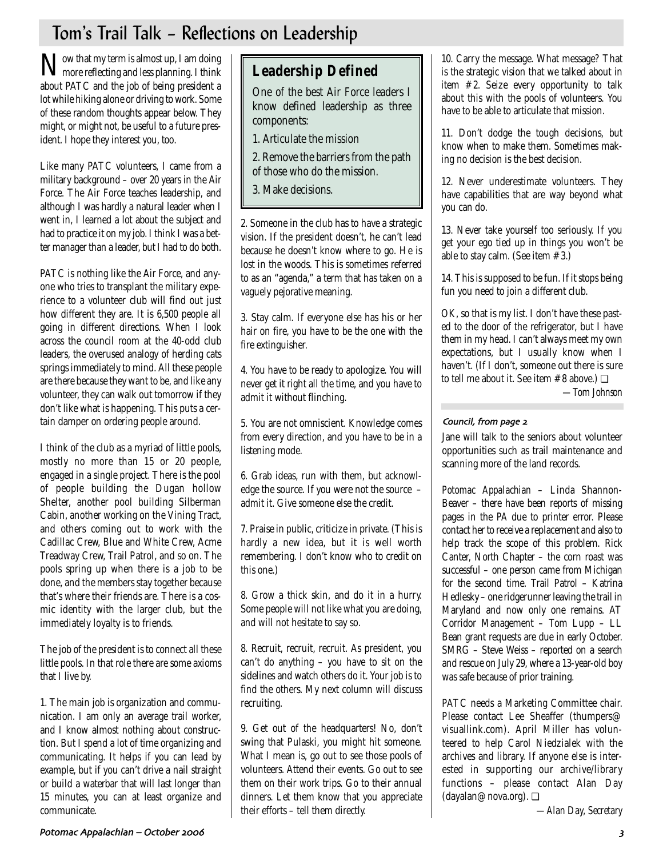# Tom's Trail Talk – Reflections on Leadership

Now that my term is almost up, I am doing more reflecting and less planning. I think about PATC and the job of being president a lot while hiking alone or driving to work. Some of these random thoughts appear below. They might, or might not, be useful to a future president. I hope they interest you, too.

Like many PATC volunteers, I came from a military background – over 20 years in the Air Force. The Air Force teaches leadership, and although I was hardly a natural leader when I went in, I learned a lot about the subject and had to practice it on my job. I think I was a better manager than a leader, but I had to do both.

PATC is nothing like the Air Force, and anyone who tries to transplant the military experience to a volunteer club will find out just how different they are. It is 6,500 people all going in different directions. When I look across the council room at the 40-odd club leaders, the overused analogy of herding cats springs immediately to mind. All these people are there because they want to be, and like any volunteer, they can walk out tomorrow if they don't like what is happening. This puts a certain damper on ordering people around.

I think of the club as a myriad of little pools, mostly no more than 15 or 20 people, engaged in a single project. There is the pool of people building the Dugan hollow Shelter, another pool building Silberman Cabin, another working on the Vining Tract, and others coming out to work with the Cadillac Crew, Blue and White Crew, Acme Treadway Crew, Trail Patrol, and so on. The pools spring up when there is a job to be done, and the members stay together because that's where their friends are. There is a cosmic identity with the larger club, but the immediately loyalty is to friends.

The job of the president is to connect all these little pools. In that role there are some axioms that I live by.

1. The main job is organization and communication. I am only an average trail worker, and I know almost nothing about construction. But I spend a lot of time organizing and communicating. It helps if you can lead by example, but if you can't drive a nail straight or build a waterbar that will last longer than 15 minutes, you can at least organize and communicate.

# **Leadership Defined**

One of the best Air Force leaders I know defined leadership as three components:

1. Articulate the mission

- 2. Remove the barriers from the path of those who do the mission.
- 3. Make decisions.

2. Someone in the club has to have a strategic vision. If the president doesn't, he can't lead because he doesn't know where to go. He is lost in the woods. This is sometimes referred to as an "agenda," a term that has taken on a vaguely pejorative meaning.

3. Stay calm. If everyone else has his or her hair on fire, you have to be the one with the fire extinguisher.

4. You have to be ready to apologize. You will never get it right all the time, and you have to admit it without flinching.

5. You are not omniscient. Knowledge comes from every direction, and you have to be in a listening mode.

6. Grab ideas, run with them, but acknowledge the source. If you were not the source – admit it. Give someone else the credit.

7. Praise in public, criticize in private. (This is hardly a new idea, but it is well worth remembering. I don't know who to credit on this one.)

8. Grow a thick skin, and do it in a hurry. Some people will not like what you are doing, and will not hesitate to say so.

8. Recruit, recruit, recruit. As president, you can't do anything – you have to sit on the sidelines and watch others do it. Your job is to find the others. My next column will discuss recruiting.

9. Get out of the headquarters! No, don't swing that Pulaski, you might hit someone. What I mean is, go out to see those pools of volunteers. Attend their events. Go out to see them on their work trips. Go to their annual dinners. Let them know that you appreciate their efforts – tell them directly.

10. Carry the message. What message? That is the strategic vision that we talked about in item #2. Seize every opportunity to talk about this with the pools of volunteers. You have to be able to articulate that mission.

11. Don't dodge the tough decisions, but know when to make them. Sometimes making no decision is the best decision.

12. Never underestimate volunteers. They have capabilities that are way beyond what you can do.

13. Never take yourself too seriously. If you get your ego tied up in things you won't be able to stay calm. (See item #3.)

14. This is supposed to be fun. If it stops being fun you need to join a different club.

OK, so that is my list. I don't have these pasted to the door of the refrigerator, but I have them in my head. I can't always meet my own expectations, but I usually know when I haven't. (If I don't, someone out there is sure to tell me about it. See item  $#8$  above.)  $\Box$ *—Tom Johnson*

### Council, from page 2

Jane will talk to the seniors about volunteer opportunities such as trail maintenance and scanning more of the land records.

*Potomac Appalachian* – Linda Shannon-Beaver – there have been reports of missing pages in the *PA* due to printer error. Please contact her to receive a replacement and also to help track the scope of this problem. Rick Canter, North Chapter – the corn roast was successful – one person came from Michigan for the second time. Trail Patrol – Katrina Hedlesky – one ridgerunner leaving the trail in Maryland and now only one remains. AT Corridor Management – Tom Lupp – LL Bean grant requests are due in early October. SMRG – Steve Weiss – reported on a search and rescue on July 29, where a 13-year-old boy was safe because of prior training.

PATC needs a Marketing Committee chair. Please contact Lee Sheaffer (thumpers@ visuallink.com). April Miller has volunteered to help Carol Niedzialek with the archives and library. If anyone else is interested in supporting our archive/library functions – please contact Alan Day (dayalan@nova.org). ❏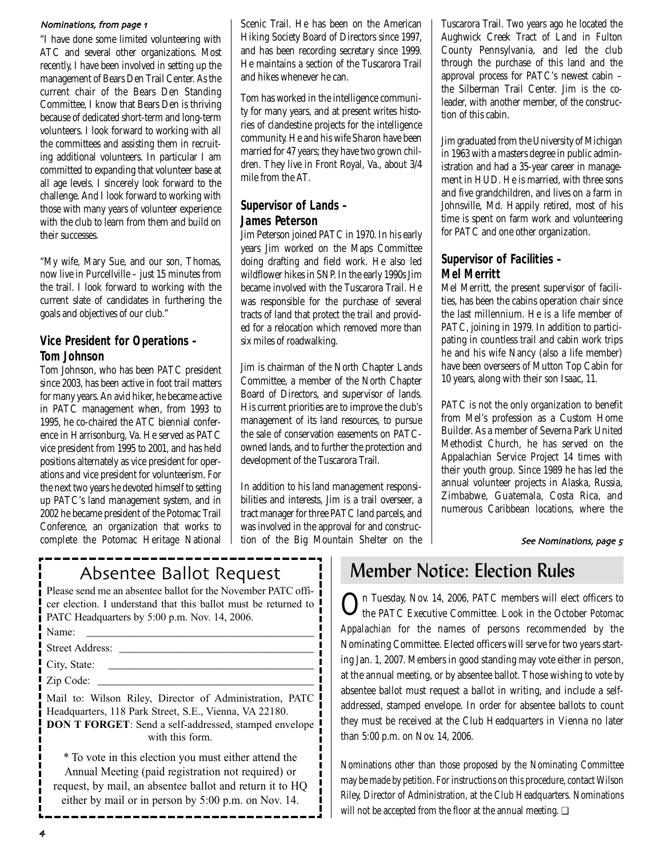#### Nominations, from page 1

"I have done some limited volunteering with ATC and several other organizations. Most recently, I have been involved in setting up the management of Bears Den Trail Center. As the current chair of the Bears Den Standing Committee, I know that Bears Den is thriving because of dedicated short-term and long-term volunteers. I look forward to working with all the committees and assisting them in recruiting additional volunteers. In particular I am committed to expanding that volunteer base at all age levels. I sincerely look forward to the challenge. And I look forward to working with those with many years of volunteer experience with the club to learn from them and build on their successes.

"My wife, Mary Sue, and our son, Thomas, now live in Purcellville – just 15 minutes from the trail. I look forward to working with the current slate of candidates in furthering the goals and objectives of our club."

## **Vice President for Operations – Tom Johnson**

Tom Johnson, who has been PATC president since 2003, has been active in foot trail matters for many years. An avid hiker, he became active in PATC management when, from 1993 to 1995, he co-chaired the ATC biennial conference in Harrisonburg, Va. He served as PATC vice president from 1995 to 2001, and has held positions alternately as vice president for operations and vice president for volunteerism. For the next two years he devoted himself to setting up PATC's land management system, and in 2002 he became president of the Potomac Trail Conference, an organization that works to complete the Potomac Heritage National Scenic Trail. He has been on the American Hiking Society Board of Directors since 1997, and has been recording secretary since 1999. He maintains a section of the Tuscarora Trail and hikes whenever he can.

Tom has worked in the intelligence community for many years, and at present writes histories of clandestine projects for the intelligence community. He and his wife Sharon have been married for 47 years; they have two grown children. They live in Front Royal, Va., about 3/4 mile from the AT.

## **Supervisor of Lands – James Peterson**

Jim Peterson joined PATC in 1970. In his early years Jim worked on the Maps Committee doing drafting and field work. He also led wildflower hikes in SNP. In the early 1990s Jim became involved with the Tuscarora Trail. He was responsible for the purchase of several tracts of land that protect the trail and provided for a relocation which removed more than six miles of roadwalking.

Jim is chairman of the North Chapter Lands Committee, a member of the North Chapter Board of Directors, and supervisor of lands. His current priorities are to improve the club's management of its land resources, to pursue the sale of conservation easements on PATCowned lands, and to further the protection and development of the Tuscarora Trail.

In addition to his land management responsibilities and interests, Jim is a trail overseer, a tract manager for three PATC land parcels, and was involved in the approval for and construction of the Big Mountain Shelter on the

Tuscarora Trail. Two years ago he located the Aughwick Creek Tract of Land in Fulton County Pennsylvania, and led the club through the purchase of this land and the approval process for PATC's newest cabin – the Silberman Trail Center. Jim is the coleader, with another member, of the construction of this cabin.

Jim graduated from the University of Michigan in 1963 with a masters degree in public administration and had a 35-year career in management in HUD. He is married, with three sons and five grandchildren, and lives on a farm in Johnsville, Md. Happily retired, most of his time is spent on farm work and volunteering for PATC and one other organization.

## **Supervisor of Facilities – Mel Merritt**

Mel Merritt, the present supervisor of facilities, has been the cabins operation chair since the last millennium. He is a life member of PATC, joining in 1979. In addition to participating in countless trail and cabin work trips he and his wife Nancy (also a life member) have been overseers of Mutton Top Cabin for 10 years, along with their son Isaac, 11.

PATC is not the only organization to benefit from Mel's profession as a Custom Home Builder. As a member of Severna Park United Methodist Church, he has served on the Appalachian Service Project 14 times with their youth group. Since 1989 he has led the annual volunteer projects in Alaska, Russia, Zimbabwe, Guatemala, Costa Rica, and numerous Caribbean locations, where the

#### See Nominations, page 5

| Please send me an absentee ballot for the November PATC offi-   |  |  |  |  |  |  |
|-----------------------------------------------------------------|--|--|--|--|--|--|
| cer election. I understand that this ballot must be returned to |  |  |  |  |  |  |
| PATC Headquarters by 5:00 p.m. Nov. 14, 2006.                   |  |  |  |  |  |  |
| Name:                                                           |  |  |  |  |  |  |

| .m |
|----|
|----|

Street Address: \_\_\_\_\_\_\_\_\_\_\_\_\_\_\_\_\_\_\_\_\_\_\_\_\_\_\_\_\_\_\_\_\_\_\_\_

City, State: \_\_\_\_\_\_\_\_\_\_\_\_\_\_\_\_\_\_\_\_\_\_\_\_\_\_\_\_\_\_\_\_\_\_\_\_\_\_

Zip Code:

Mail to: Wilson Riley, Director of Administration, PATC Headquarters, 118 Park Street, S.E., Vienna, VA 22180. **DON T FORGET:** Send a self-addressed, stamped envelope ! with this form.

\* To vote in this election you must either attend the Annual Meeting (paid registration not required) or request, by mail, an absentee ballot and return it to HQ either by mail or in person by 5:00 p.m. on Nov. 14.

# Absentee Ballot Request | Member Notice: Election Rules

On Tuesday, Nov. 14, 2006, PATC members will elect officers to the PATC Executive Committee. Look in the October *Potomac Appalachian* for the names of persons recommended by the Nominating Committee. Elected officers will serve for two years starting Jan. 1, 2007. Members in good standing may vote either in person, at the annual meeting, or by absentee ballot. Those wishing to vote by absentee ballot must request a ballot in writing, and include a selfaddressed, stamped envelope. In order for absentee ballots to count they must be received at the Club Headquarters in Vienna no later than 5:00 p.m. on Nov. 14, 2006.

Nominations other than those proposed by the Nominating Committee may be made by petition. For instructions on this procedure, contact Wilson Riley, Director of Administration, at the Club Headquarters. Nominations will not be accepted from the floor at the annual meeting. □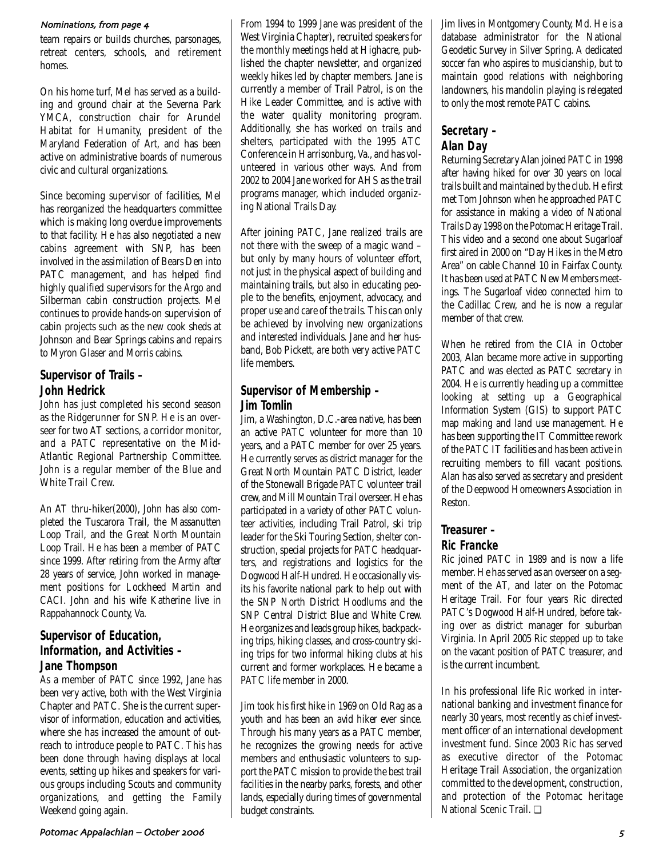#### Nominations, from page 4

team repairs or builds churches, parsonages, retreat centers, schools, and retirement homes.

On his home turf, Mel has served as a building and ground chair at the Severna Park YMCA, construction chair for Arundel Habitat for Humanity, president of the Maryland Federation of Art, and has been active on administrative boards of numerous civic and cultural organizations.

Since becoming supervisor of facilities, Mel has reorganized the headquarters committee which is making long overdue improvements to that facility. He has also negotiated a new cabins agreement with SNP, has been involved in the assimilation of Bears Den into PATC management, and has helped find highly qualified supervisors for the Argo and Silberman cabin construction projects. Mel continues to provide hands-on supervision of cabin projects such as the new cook sheds at Johnson and Bear Springs cabins and repairs to Myron Glaser and Morris cabins.

## **Supervisor of Trails – John Hedrick**

John has just completed his second season as the Ridgerunner for SNP. He is an overseer for two AT sections, a corridor monitor, and a PATC representative on the Mid-Atlantic Regional Partnership Committee. John is a regular member of the Blue and White Trail Crew.

An AT thru-hiker(2000), John has also completed the Tuscarora Trail, the Massanutten Loop Trail, and the Great North Mountain Loop Trail. He has been a member of PATC since 1999. After retiring from the Army after 28 years of service, John worked in management positions for Lockheed Martin and CACI. John and his wife Katherine live in Rappahannock County, Va.

## **Supervisor of Education, Information, and Activities – Jane Thompson**

As a member of PATC since 1992, Jane has been very active, both with the West Virginia Chapter and PATC. She is the current supervisor of information, education and activities, where she has increased the amount of outreach to introduce people to PATC. This has been done through having displays at local events, setting up hikes and speakers for various groups including Scouts and community organizations, and getting the Family Weekend going again.

From 1994 to 1999 Jane was president of the West Virginia Chapter), recruited speakers for the monthly meetings held at Highacre, published the chapter newsletter, and organized weekly hikes led by chapter members. Jane is currently a member of Trail Patrol, is on the Hike Leader Committee, and is active with the water quality monitoring program. Additionally, she has worked on trails and shelters, participated with the 1995 ATC Conference in Harrisonburg, Va., and has volunteered in various other ways. And from 2002 to 2004 Jane worked for AHS as the trail programs manager, which included organizing National Trails Day.

After joining PATC, Jane realized trails are not there with the sweep of a magic wand – but only by many hours of volunteer effort, not just in the physical aspect of building and maintaining trails, but also in educating people to the benefits, enjoyment, advocacy, and proper use and care of the trails. This can only be achieved by involving new organizations and interested individuals. Jane and her husband, Bob Pickett, are both very active PATC life members.

## **Supervisor of Membership – Jim Tomlin**

Jim, a Washington, D.C.-area native, has been an active PATC volunteer for more than 10 years, and a PATC member for over 25 years. He currently serves as district manager for the Great North Mountain PATC District, leader of the Stonewall Brigade PATC volunteer trail crew, and Mill Mountain Trail overseer. He has participated in a variety of other PATC volunteer activities, including Trail Patrol, ski trip leader for the Ski Touring Section, shelter construction, special projects for PATC headquarters, and registrations and logistics for the Dogwood Half-Hundred. He occasionally visits his favorite national park to help out with the SNP North District Hoodlums and the SNP Central District Blue and White Crew. He organizes and leads group hikes, backpacking trips, hiking classes, and cross-country skiing trips for two informal hiking clubs at his current and former workplaces. He became a PATC life member in 2000.

Jim took his first hike in 1969 on Old Rag as a youth and has been an avid hiker ever since. Through his many years as a PATC member, he recognizes the growing needs for active members and enthusiastic volunteers to support the PATC mission to provide the best trail facilities in the nearby parks, forests, and other lands, especially during times of governmental budget constraints.

Jim lives in Montgomery County, Md. He is a database administrator for the National Geodetic Survey in Silver Spring. A dedicated soccer fan who aspires to musicianship, but to maintain good relations with neighboring landowners, his mandolin playing is relegated to only the most remote PATC cabins.

# **Secretary – Alan Day**

Returning Secretary Alan joined PATC in 1998 after having hiked for over 30 years on local trails built and maintained by the club. He first met Tom Johnson when he approached PATC for assistance in making a video of National Trails Day 1998 on the Potomac Heritage Trail. This video and a second one about Sugarloaf first aired in 2000 on "Day Hikes in the Metro Area" on cable Channel 10 in Fairfax County. It has been used at PATC New Members meetings. The Sugarloaf video connected him to the Cadillac Crew, and he is now a regular member of that crew.

When he retired from the CIA in October 2003, Alan became more active in supporting PATC and was elected as PATC secretary in 2004. He is currently heading up a committee looking at setting up a Geographical Information System (GIS) to support PATC map making and land use management. He has been supporting the IT Committee rework of the PATC IT facilities and has been active in recruiting members to fill vacant positions. Alan has also served as secretary and president of the Deepwood Homeowners Association in Reston.

## **Treasurer – Ric Francke**

Ric joined PATC in 1989 and is now a life member. He has served as an overseer on a segment of the AT, and later on the Potomac Heritage Trail. For four years Ric directed PATC's Dogwood Half-Hundred, before taking over as district manager for suburban Virginia. In April 2005 Ric stepped up to take on the vacant position of PATC treasurer, and is the current incumbent.

In his professional life Ric worked in international banking and investment finance for nearly 30 years, most recently as chief investment officer of an international development investment fund. Since 2003 Ric has served as executive director of the Potomac Heritage Trail Association, the organization committed to the development, construction, and protection of the Potomac heritage National Scenic Trail. ❏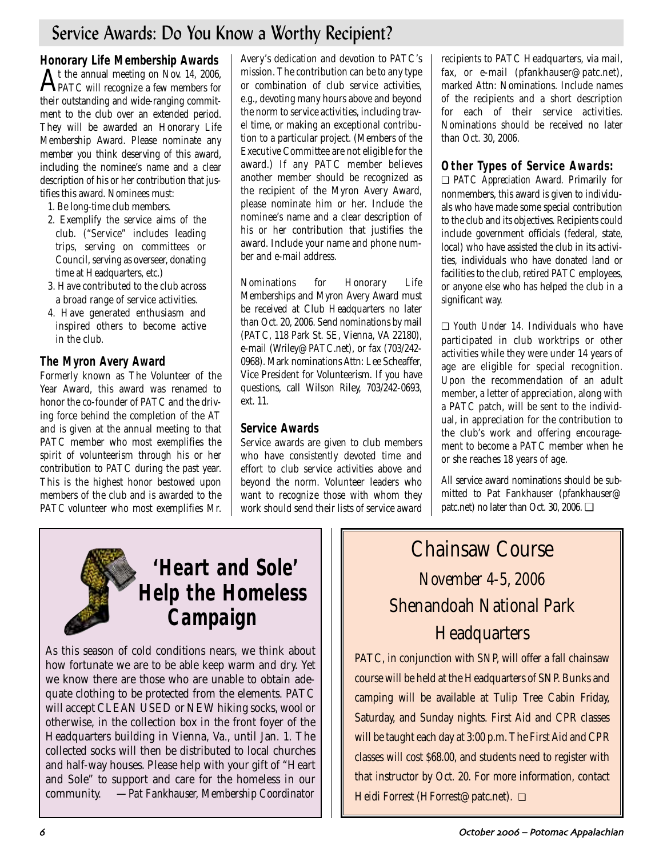# Service Awards: Do You Know a Worthy Recipient?

**Honorary Life Membership Awards**  At the annual meeting on Nov. 14, 2006, PATC will recognize a few members for their outstanding and wide-ranging commitment to the club over an extended period. They will be awarded an Honorary Life Membership Award. Please nominate any member you think deserving of this award, including the nominee's name and a clear description of his or her contribution that justifies this award. Nominees must:

- 1. Be long-time club members.
- 2. Exemplify the service aims of the club. ("Service" includes leading trips, serving on committees or Council, serving as overseer, donating time at Headquarters, etc.)
- 3. Have contributed to the club across a broad range of service activities.
- 4. Have generated enthusiasm and inspired others to become active in the club.

# **The Myron Avery Award**

Formerly known as The Volunteer of the Year Award, this award was renamed to honor the co-founder of PATC and the driving force behind the completion of the AT and is given at the annual meeting to that PATC member who most exemplifies the spirit of volunteerism through his or her contribution to PATC during the past year. This is the highest honor bestowed upon members of the club and is awarded to the PATC volunteer who most exemplifies Mr.

Avery's dedication and devotion to PATC's mission. The contribution can be to any type or combination of club service activities, e.g., devoting many hours above and beyond the norm to service activities, including travel time, or making an exceptional contribution to a particular project. (Members of the Executive Committee are not eligible for the award.) If any PATC member believes another member should be recognized as the recipient of the Myron Avery Award, please nominate him or her. Include the nominee's name and a clear description of his or her contribution that justifies the award. Include your name and phone number and e-mail address.

Nominations for Honorary Life Memberships and Myron Avery Award must be received at Club Headquarters no later than Oct. 20, 2006. Send nominations by mail (PATC, 118 Park St. SE, Vienna, VA 22180), e-mail (Wriley@PATC.net), or fax (703/242- 0968). Mark nominations Attn: Lee Scheaffer, Vice President for Volunteerism. If you have questions, call Wilson Riley, 703/242-0693, ext. 11.

## **Service Awards**

Service awards are given to club members who have consistently devoted time and effort to club service activities above and beyond the norm. Volunteer leaders who want to recognize those with whom they work should send their lists of service award recipients to PATC Headquarters, via mail, fax, or e-mail (pfankhauser@patc.net), marked Attn: Nominations. Include names of the recipients and a short description for each of their service activities. Nominations should be received no later than Oct. 30, 2006.

# **Other Types of Service Awards:**

❏ *PATC Appreciation Award.* Primarily for nonmembers, this award is given to individuals who have made some special contribution to the club and its objectives. Recipients could include government officials (federal, state, local) who have assisted the club in its activities, individuals who have donated land or facilities to the club, retired PATC employees, or anyone else who has helped the club in a significant way.

❏ *Youth Under 14.* Individuals who have participated in club worktrips or other activities while they were under 14 years of age are eligible for special recognition. Upon the recommendation of an adult member, a letter of appreciation, along with a PATC patch, will be sent to the individual, in appreciation for the contribution to the club's work and offering encouragement to become a PATC member when he or she reaches 18 years of age.

All service award nominations should be submitted to Pat Fankhauser (pfankhauser@ patc.net) no later than Oct. 30, 2006. ❏

# **'Heart and Sole' Help the Homeless Campaign**

As this season of cold conditions nears, we think about how fortunate we are to be able keep warm and dry. Yet we know there are those who are unable to obtain adequate clothing to be protected from the elements. PATC will accept CLEAN USED or NEW hiking socks, wool or otherwise, in the collection box in the front foyer of the Headquarters building in Vienna, Va., until Jan. 1. The collected socks will then be distributed to local churches and half-way houses. Please help with your gift of "Heart and Sole" to support and care for the homeless in our community. —*Pat Fankhauser, Membership Coordinator*

# Chainsaw Course *November 4-5, 2006* Shenandoah National Park **Headquarters**

PATC, in conjunction with SNP, will offer a fall chainsaw course will be held at the Headquarters of SNP. Bunks and camping will be available at Tulip Tree Cabin Friday, Saturday, and Sunday nights. First Aid and CPR classes will be taught each day at 3:00 p.m. The First Aid and CPR classes will cost \$68.00, and students need to register with that instructor by Oct. 20. For more information, contact Heidi Forrest (HForrest@patc.net). ❏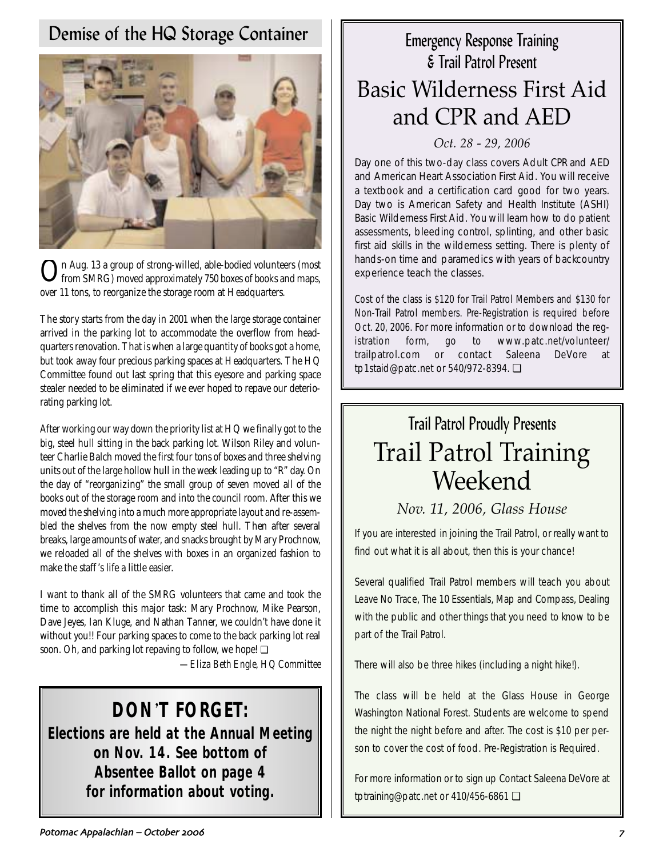# Demise of the HQ Storage Container



 $\mathbf{O}$ n Aug. 13 a group of strong-willed, able-bodied volunteers (most from SMRG) moved approximately 750 boxes of books and maps, over 11 tons, to reorganize the storage room at Headquarters.

The story starts from the day in 2001 when the large storage container arrived in the parking lot to accommodate the overflow from headquarters renovation. That is when a large quantity of books got a home, but took away four precious parking spaces at Headquarters. The HQ Committee found out last spring that this eyesore and parking space stealer needed to be eliminated if we ever hoped to repave our deteriorating parking lot.

After working our way down the priority list at HQ we finally got to the big, steel hull sitting in the back parking lot. Wilson Riley and volunteer Charlie Balch moved the first four tons of boxes and three shelving units out of the large hollow hull in the week leading up to "R" day. On the day of "reorganizing" the small group of seven moved all of the books out of the storage room and into the council room. After this we moved the shelving into a much more appropriate layout and re-assembled the shelves from the now empty steel hull. Then after several breaks, large amounts of water, and snacks brought by Mary Prochnow, we reloaded all of the shelves with boxes in an organized fashion to make the staff 's life a little easier.

I want to thank all of the SMRG volunteers that came and took the time to accomplish this major task: Mary Prochnow, Mike Pearson, Dave Jeyes, Ian Kluge, and Nathan Tanner, we couldn't have done it without you!! Four parking spaces to come to the back parking lot real soon. Oh, and parking lot repaving to follow, we hope! **□** 

*—Eliza Beth Engle, HQ Committee*

# **DON**'**T FORGET:**

**Elections are held at the Annual Meeting on Nov. 14. See bottom of Absentee Ballot on page 4 for information about voting.**

# Emergency Response Training & Trail Patrol Present Basic Wilderness First Aid and CPR and AED

## *Oct. 28 - 29, 2006*

Day one of this two-day class covers Adult CPR and AED and American Heart Association First Aid. You will receive a textbook and a certification card good for two years. Day two is American Safety and Health Institute (ASHI) Basic Wilderness First Aid. You will learn how to do patient assessments, bleeding control, splinting, and other basic first aid skills in the wilderness setting. There is plenty of hands-on time and paramedics with years of backcountry experience teach the classes.

Cost of the class is \$120 for Trail Patrol Members and \$130 for Non-Trail Patrol members. Pre-Registration is required before Oct. 20, 2006. For more information or to download the registration form, go to www.patc.net/volunteer/ trailpatrol.com or contact Saleena DeVore at tp1staid@patc.net or 540/972-8394. ❏

# Trail Patrol Proudly Presents Trail Patrol Training Weekend

# *Nov. 11, 2006, Glass House*

If you are interested in joining the Trail Patrol, or really want to find out what it is all about, then this is your chance!

Several qualified Trail Patrol members will teach you about Leave No Trace, The 10 Essentials, Map and Compass, Dealing with the public and other things that you need to know to be part of the Trail Patrol.

There will also be three hikes (including a night hike!).

The class will be held at the Glass House in George Washington National Forest. Students are welcome to spend the night the night before and after. The cost is \$10 per person to cover the cost of food. Pre-Registration is Required.

For more information or to sign up Contact Saleena DeVore at tptraining@patc.net or 410/456-6861 ❏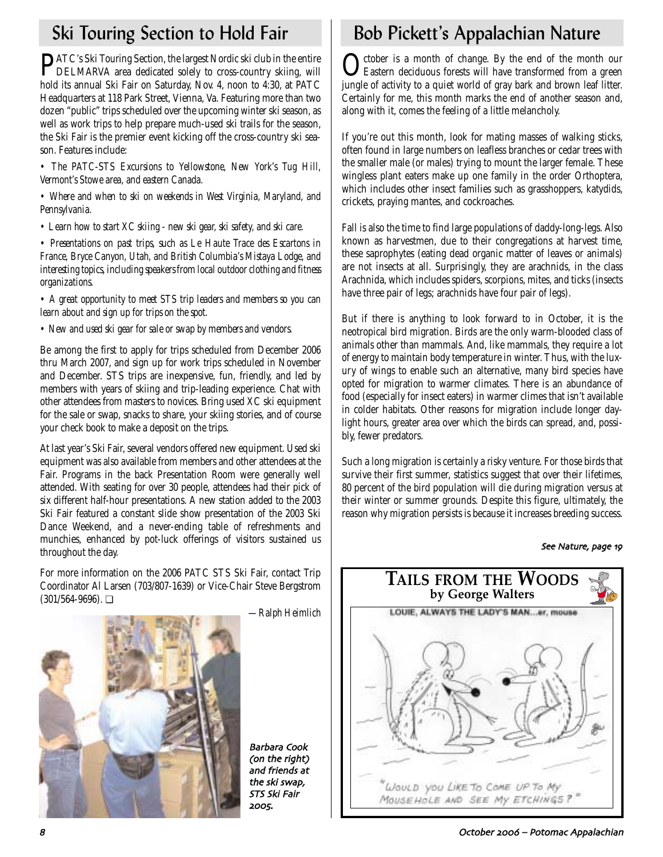PATC's Ski Touring Section, the largest Nordic ski club in the entire DELMARVA area dedicated solely to cross-country skiing, will hold its annual Ski Fair on Saturday, Nov. 4, noon to 4:30, at PATC Headquarters at 118 Park Street, Vienna, Va. Featuring more than two dozen "public" trips scheduled over the upcoming winter ski season, as well as work trips to help prepare much-used ski trails for the season, the Ski Fair is the premier event kicking off the cross-country ski season. Features include:

*• The PATC-STS Excursions to Yellowstone, New York's Tug Hill, Vermont's Stowe area, and eastern Canada.*

*• Where and when to ski on weekends in West Virginia, Maryland, and Pennsylvania.*

*• Learn how to start XC skiing - new ski gear, ski safety, and ski care.*

*• Presentations on past trips, such as Le Haute Trace des Escartons in France, Bryce Canyon, Utah, and British Columbia's Mistaya Lodge, and interesting topics, including speakers from local outdoor clothing and fitness organizations.*

*• A great opportunity to meet STS trip leaders and members so you can learn about and sign up for trips on the spot.*

*• New and used ski gear for sale or swap by members and vendors.*

Be among the first to apply for trips scheduled from December 2006 thru March 2007, and sign up for work trips scheduled in November and December. STS trips are inexpensive, fun, friendly, and led by members with years of skiing and trip-leading experience. Chat with other attendees from masters to novices. Bring used XC ski equipment for the sale or swap, snacks to share, your skiing stories, and of course your check book to make a deposit on the trips.

At last year's Ski Fair, several vendors offered new equipment. Used ski equipment was also available from members and other attendees at the Fair. Programs in the back Presentation Room were generally well attended. With seating for over 30 people, attendees had their pick of six different half-hour presentations. A new station added to the 2003 Ski Fair featured a constant slide show presentation of the 2003 Ski Dance Weekend, and a never-ending table of refreshments and munchies, enhanced by pot-luck offerings of visitors sustained us throughout the day.

For more information on the 2006 PATC STS Ski Fair, contact Trip Coordinator Al Larsen (703/807-1639) or Vice-Chair Steve Bergstrom  $(301/564-9696)$ .  $\Box$ 



*—Ralph Heimlich*

Barbara Cook (on the right) and friends at the ski swap STS Ski Fair 2005.

# Ski Touring Section to Hold Fair Bob Pickett's Appalachian Nature

October is a month of change. By the end of the month our<br>Eastern deciduous forests will have transformed from a green jungle of activity to a quiet world of gray bark and brown leaf litter. Certainly for me, this month marks the end of another season and, along with it, comes the feeling of a little melancholy.

If you're out this month, look for mating masses of walking sticks, often found in large numbers on leafless branches or cedar trees with the smaller male (or males) trying to mount the larger female. These wingless plant eaters make up one family in the order Orthoptera, which includes other insect families such as grasshoppers, katydids, crickets, praying mantes, and cockroaches.

Fall is also the time to find large populations of daddy-long-legs. Also known as harvestmen, due to their congregations at harvest time, these saprophytes (eating dead organic matter of leaves or animals) are not insects at all. Surprisingly, they are arachnids, in the class Arachnida, which includes spiders, scorpions, mites, and ticks (insects have three pair of legs; arachnids have four pair of legs).

But if there is anything to look forward to in October, it is the neotropical bird migration. Birds are the only warm-blooded class of animals other than mammals. And, like mammals, they require a lot of energy to maintain body temperature in winter. Thus, with the luxury of wings to enable such an alternative, many bird species have opted for migration to warmer climates. There is an abundance of food (especially for insect eaters) in warmer climes that isn't available in colder habitats. Other reasons for migration include longer daylight hours, greater area over which the birds can spread, and, possibly, fewer predators.

Such a long migration is certainly a risky venture. For those birds that survive their first summer, statistics suggest that over their lifetimes, 80 percent of the bird population will die during migration versus at their winter or summer grounds. Despite this figure, ultimately, the reason why migration persists is because it increases breeding success.

See Nature, page 19



October – Potomac Appalachian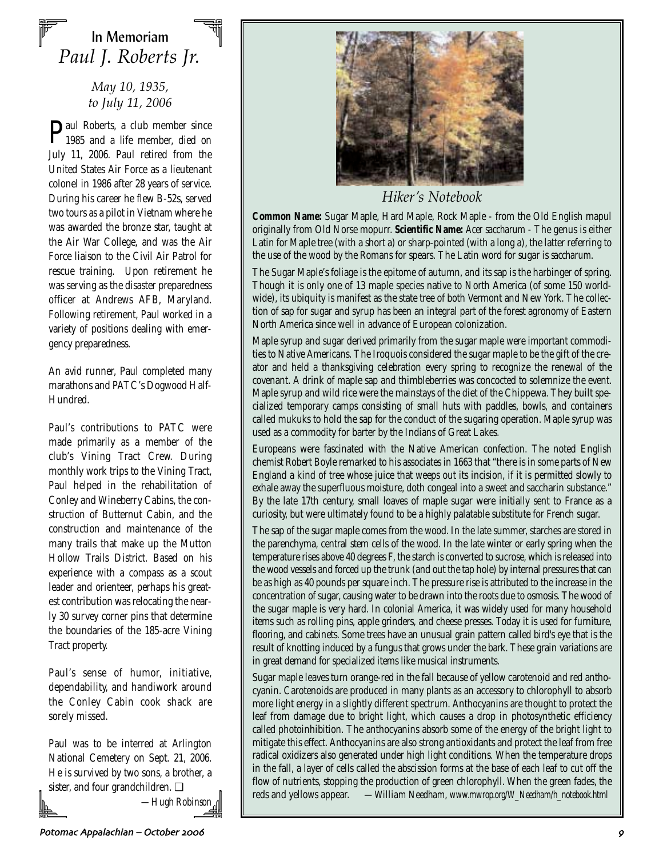# In Memoriam *Paul J. Roberts Jr.*

## *May 10, 1935, to July 11, 2006*

Paul Roberts, a club member since 1985 and a life member, died on July 11, 2006. Paul retired from the United States Air Force as a lieutenant colonel in 1986 after 28 years of service. During his career he flew B-52s, served two tours as a pilot in Vietnam where he was awarded the bronze star, taught at the Air War College, and was the Air Force liaison to the Civil Air Patrol for rescue training. Upon retirement he was serving as the disaster preparedness officer at Andrews AFB, Maryland. Following retirement, Paul worked in a variety of positions dealing with emergency preparedness.

An avid runner, Paul completed many marathons and PATC's Dogwood Half-Hundred.

Paul's contributions to PATC were made primarily as a member of the club's Vining Tract Crew. During monthly work trips to the Vining Tract, Paul helped in the rehabilitation of Conley and Wineberry Cabins, the construction of Butternut Cabin, and the construction and maintenance of the many trails that make up the Mutton Hollow Trails District. Based on his experience with a compass as a scout leader and orienteer, perhaps his greatest contribution was relocating the nearly 30 survey corner pins that determine the boundaries of the 185-acre Vining Tract property.

Paul's sense of humor, initiative, dependability, and handiwork around the Conley Cabin cook shack are sorely missed.

Paul was to be interred at Arlington National Cemetery on Sept. 21, 2006. He is survived by two sons, a brother, a sister, and four grandchildren. ❏

*—Hugh Robinson*



*Hiker's Notebook*

**Common Name:** Sugar Maple, Hard Maple, Rock Maple - from the Old English mapul originally from Old Norse mopurr. **Scientific Name:** *Acer saccharum* - The genus is either Latin for Maple tree (with a short a) or sharp-pointed (with a long a), the latter referring to the use of the wood by the Romans for spears. The Latin word for sugar is *saccharum*.

The Sugar Maple's foliage is the epitome of autumn, and its sap is the harbinger of spring. Though it is only one of 13 maple species native to North America (of some 150 worldwide), its ubiquity is manifest as the state tree of both Vermont and New York. The collection of sap for sugar and syrup has been an integral part of the forest agronomy of Eastern North America since well in advance of European colonization.

Maple syrup and sugar derived primarily from the sugar maple were important commodities to Native Americans. The Iroquois considered the sugar maple to be the gift of the creator and held a thanksgiving celebration every spring to recognize the renewal of the covenant. A drink of maple sap and thimbleberries was concocted to solemnize the event. Maple syrup and wild rice were the mainstays of the diet of the Chippewa. They built specialized temporary camps consisting of small huts with paddles, bowls, and containers called mukuks to hold the sap for the conduct of the sugaring operation. Maple syrup was used as a commodity for barter by the Indians of Great Lakes.

Europeans were fascinated with the Native American confection. The noted English chemist Robert Boyle remarked to his associates in 1663 that "there is in some parts of New England a kind of tree whose juice that weeps out its incision, if it is permitted slowly to exhale away the superfluous moisture, doth congeal into a sweet and saccharin substance." By the late 17th century, small loaves of maple sugar were initially sent to France as a curiosity, but were ultimately found to be a highly palatable substitute for French sugar.

The sap of the sugar maple comes from the wood. In the late summer, starches are stored in the parenchyma, central stem cells of the wood. In the late winter or early spring when the temperature rises above 40 degrees F, the starch is converted to sucrose, which is released into the wood vessels and forced up the trunk (and out the tap hole) by internal pressures that can be as high as 40 pounds per square inch. The pressure rise is attributed to the increase in the concentration of sugar, causing water to be drawn into the roots due to osmosis. The wood of the sugar maple is very hard. In colonial America, it was widely used for many household items such as rolling pins, apple grinders, and cheese presses. Today it is used for furniture, flooring, and cabinets. Some trees have an unusual grain pattern called bird's eye that is the result of knotting induced by a fungus that grows under the bark. These grain variations are in great demand for specialized items like musical instruments.

Sugar maple leaves turn orange-red in the fall because of yellow carotenoid and red anthocyanin. Carotenoids are produced in many plants as an accessory to chlorophyll to absorb more light energy in a slightly different spectrum. Anthocyanins are thought to protect the leaf from damage due to bright light, which causes a drop in photosynthetic efficiency called photoinhibition. The anthocyanins absorb some of the energy of the bright light to mitigate this effect. Anthocyanins are also strong antioxidants and protect the leaf from free radical oxidizers also generated under high light conditions. When the temperature drops in the fall, a layer of cells called the abscission forms at the base of each leaf to cut off the flow of nutrients, stopping the production of green chlorophyll. When the green fades, the reds and yellows appear. *—William Needham, www.mwrop.org/W\_Needham/h\_notebook.html*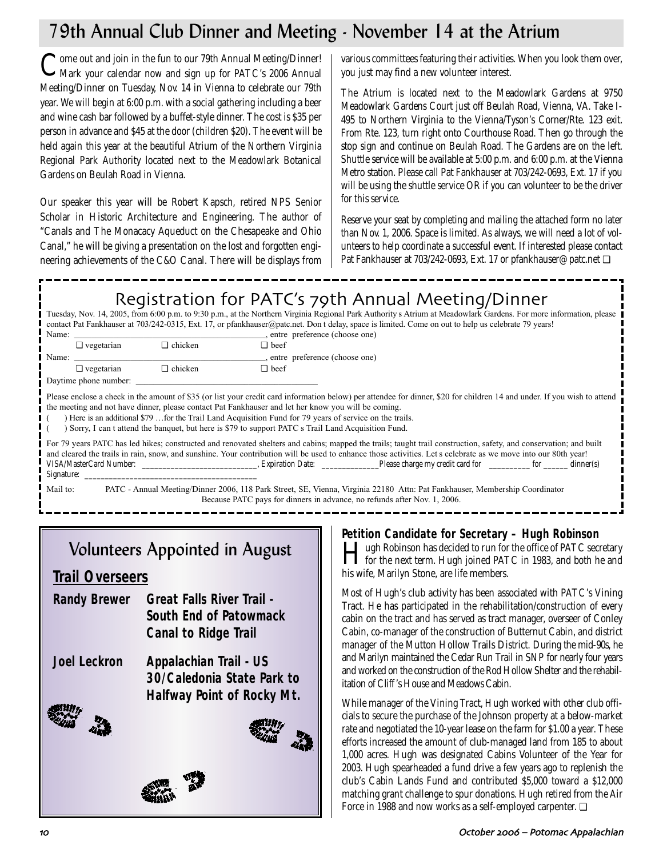# 79th Annual Club Dinner and Meeting - November 14 at the Atrium

Come out and join in the fun to our 79th Annual Meeting/Dinner!<br>Mark your calendar now and sign up for PATC's 2006 Annual Meeting/Dinner on Tuesday, Nov. 14 in Vienna to celebrate our 79th year. We will begin at 6:00 p.m. with a social gathering including a beer and wine cash bar followed by a buffet-style dinner. The cost is \$35 per person in advance and \$45 at the door (children \$20). The event will be held again this year at the beautiful Atrium of the Northern Virginia Regional Park Authority located next to the Meadowlark Botanical Gardens on Beulah Road in Vienna.

Our speaker this year will be Robert Kapsch, retired NPS Senior Scholar in Historic Architecture and Engineering. The author of "Canals and The Monacacy Aqueduct on the Chesapeake and Ohio Canal," he will be giving a presentation on the lost and forgotten engineering achievements of the C&O Canal. There will be displays from

various committees featuring their activities. When you look them over, you just may find a new volunteer interest.

The Atrium is located next to the Meadowlark Gardens at 9750 Meadowlark Gardens Court just off Beulah Road, Vienna, VA. Take I-495 to Northern Virginia to the Vienna/Tyson's Corner/Rte. 123 exit. From Rte. 123, turn right onto Courthouse Road. Then go through the stop sign and continue on Beulah Road. The Gardens are on the left. Shuttle service will be available at 5:00 p.m. and 6:00 p.m. at the Vienna Metro station. Please call Pat Fankhauser at 703/242-0693, Ext. 17 if you will be using the shuttle service OR if you can volunteer to be the driver for this service.

Reserve your seat by completing and mailing the attached form no later than Nov. 1, 2006. Space is limited. As always, we will need a lot of volunteers to help coordinate a successful event. If interested please contact Pat Fankhauser at 703/242-0693, Ext. 17 or pfankhauser@patc.net ❏

# Registration for PATC's 79th Annual Meeting/Dinner

Tuesday, Nov. 14, 2005, from 6:00 p.m. to 9:30 p.m., at the Northern Virginia Regional Park Authority s Atrium at Meadowlark Gardens. For more information, please contact Pat Fankhauser at 703/242-0315, Ext. 17, or pfankhauser@patc.net. Don t delay, space is limited. Come on out to help us celebrate 79 years!

| Name:                                                                                                                                                                                                                                                                                                                                                                                                                                                                                           |                       |                | entre preference (choose one)                                                                                                                                                                                                                                                                                                       |  |  |  |  |  |
|-------------------------------------------------------------------------------------------------------------------------------------------------------------------------------------------------------------------------------------------------------------------------------------------------------------------------------------------------------------------------------------------------------------------------------------------------------------------------------------------------|-----------------------|----------------|-------------------------------------------------------------------------------------------------------------------------------------------------------------------------------------------------------------------------------------------------------------------------------------------------------------------------------------|--|--|--|--|--|
|                                                                                                                                                                                                                                                                                                                                                                                                                                                                                                 | $\Box$ vegetarian     | $\Box$ chicken | $\Box$ beef                                                                                                                                                                                                                                                                                                                         |  |  |  |  |  |
| Name:                                                                                                                                                                                                                                                                                                                                                                                                                                                                                           |                       |                | , entre preference (choose one)                                                                                                                                                                                                                                                                                                     |  |  |  |  |  |
|                                                                                                                                                                                                                                                                                                                                                                                                                                                                                                 | $\Box$ vegetarian     | $\Box$ chicken | $\Box$ beef                                                                                                                                                                                                                                                                                                                         |  |  |  |  |  |
|                                                                                                                                                                                                                                                                                                                                                                                                                                                                                                 | Daytime phone number: |                |                                                                                                                                                                                                                                                                                                                                     |  |  |  |  |  |
| Please enclose a check in the amount of \$35 (or list your credit card information below) per attendee for dinner, \$20 for children 14 and under. If you wish to attend<br>the meeting and not have dinner, please contact Pat Fankhauser and let her know you will be coming.<br>Here is an additional \$79  for the Trail Land Acquisition Fund for 79 years of service on the trails.<br>Sorry, I can t attend the banquet, but here is \$79 to support PATC s Trail Land Acquisition Fund. |                       |                |                                                                                                                                                                                                                                                                                                                                     |  |  |  |  |  |
| Signature:                                                                                                                                                                                                                                                                                                                                                                                                                                                                                      |                       |                | For 79 years PATC has led hikes; constructed and renovated shelters and cabins; mapped the trails; taught trail construction, safety, and conservation; and built<br>and cleared the trails in rain, snow, and sunshine. Your contribution will be used to enhance those activities. Let s celebrate as we move into our 80th year! |  |  |  |  |  |
| Mail to:                                                                                                                                                                                                                                                                                                                                                                                                                                                                                        |                       |                | PATC - Annual Meeting/Dinner 2006, 118 Park Street, SE, Vienna, Virginia 22180 Attn: Pat Fankhauser, Membership Coordinator<br>$\sim$ 1 $\sim$ 1 $\sim$ 1 $\sim$ 1 $\sim$ 1 $\sim$ $\sim$ 1 $\sim$<br>$P_{\rm H}$                                                                                                                   |  |  |  |  |  |

Because PATC pays for dinners in advance, no refunds after Nov. 1, 2006.

# Volunteers Appointed in August

# **Trail Overseers**

- **Randy Brewer Great Falls River Trail - South End of Patowmack Canal to Ridge Trail**
- **Joel Leckron Appalachian Trail US 30/Caledonia State Park to Halfway Point of Rocky Mt.**



## **Petition Candidate for Secretary – Hugh Robinson**

I Hugh Robinson has decided to run for the office of PATC secretary<br>for the next term. Hugh joined PATC in 1983, and both he and his wife, Marilyn Stone, are life members.

Most of Hugh's club activity has been associated with PATC's Vining Tract. He has participated in the rehabilitation/construction of every cabin on the tract and has served as tract manager, overseer of Conley Cabin, co-manager of the construction of Butternut Cabin, and district manager of the Mutton Hollow Trails District. During the mid-90s, he and Marilyn maintained the Cedar Run Trail in SNP for nearly four years and worked on the construction of the Rod Hollow Shelter and the rehabilitation of Cliff 's House and Meadows Cabin.

While manager of the Vining Tract, Hugh worked with other club officials to secure the purchase of the Johnson property at a below-market rate and negotiated the 10-year lease on the farm for \$1.00 a year. These efforts increased the amount of club-managed land from 185 to about 1,000 acres. Hugh was designated Cabins Volunteer of the Year for 2003. Hugh spearheaded a fund drive a few years ago to replenish the club's Cabin Lands Fund and contributed \$5,000 toward a \$12,000 matching grant challenge to spur donations. Hugh retired from the Air Force in 1988 and now works as a self-employed carpenter. ❏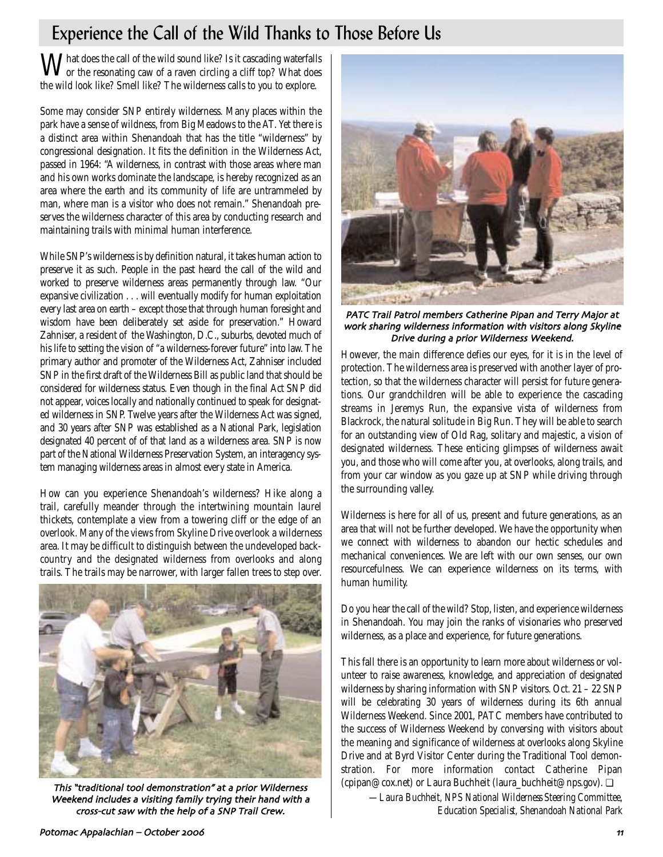# Experience the Call of the Wild Thanks to Those Before Us

What does the call of the wild sound like? Is it cascading waterfalls<br>or the resonating caw of a raven circling a cliff top? What does the wild look like? Smell like? The wilderness calls to you to explore.

Some may consider SNP entirely wilderness. Many places within the park have a sense of wildness, from Big Meadows to the AT. Yet there is a distinct area within Shenandoah that has the title "wilderness" by congressional designation. It fits the definition in the Wilderness Act, passed in 1964: "A wilderness, in contrast with those areas where man and his own works dominate the landscape, is hereby recognized as an area where the earth and its community of life are untrammeled by man, where man is a visitor who does not remain." Shenandoah preserves the wilderness character of this area by conducting research and maintaining trails with minimal human interference.

While SNP's wilderness is by definition natural, it takes human action to preserve it as such. People in the past heard the call of the wild and worked to preserve wilderness areas permanently through law. "Our expansive civilization . . . will eventually modify for human exploitation every last area on earth – except those that through human foresight and wisdom have been deliberately set aside for preservation." Howard Zahniser, a resident of the Washington, D.C., suburbs, devoted much of his life to setting the vision of "a wilderness-forever future" into law. The primary author and promoter of the Wilderness Act, Zahniser included SNP in the first draft of the Wilderness Bill as public land that should be considered for wilderness status. Even though in the final Act SNP did not appear, voices locally and nationally continued to speak for designated wilderness in SNP. Twelve years after the Wilderness Act was signed, and 30 years after SNP was established as a National Park, legislation designated 40 percent of of that land as a wilderness area. SNP is now part of the National Wilderness Preservation System, an interagency system managing wilderness areas in almost every state in America.

How can you experience Shenandoah's wilderness? Hike along a trail, carefully meander through the intertwining mountain laurel thickets, contemplate a view from a towering cliff or the edge of an overlook. Many of the views from Skyline Drive overlook a wilderness area. It may be difficult to distinguish between the undeveloped backcountry and the designated wilderness from overlooks and along trails. The trails may be narrower, with larger fallen trees to step over.



This "traditional tool demonstration" at a prior Wilderness Weekend includes a visiting family trying their hand with a cross-cut saw with the help of a SNP Trail Crew.



PATC Trail Patrol members Catherine Pipan and Terry Major at work sharing wilderness information with visitors along Skyline Drive during a prior Wilderness Weekend.

However, the main difference defies our eyes, for it is in the level of protection. The wilderness area is preserved with another layer of protection, so that the wilderness character will persist for future generations. Our grandchildren will be able to experience the cascading streams in Jeremys Run, the expansive vista of wilderness from Blackrock, the natural solitude in Big Run. They will be able to search for an outstanding view of Old Rag, solitary and majestic, a vision of designated wilderness. These enticing glimpses of wilderness await you, and those who will come after you, at overlooks, along trails, and from your car window as you gaze up at SNP while driving through the surrounding valley.

Wilderness is here for all of us, present and future generations, as an area that will not be further developed. We have the opportunity when we connect with wilderness to abandon our hectic schedules and mechanical conveniences. We are left with our own senses, our own resourcefulness. We can experience wilderness on its terms, with human humility.

Do you hear the call of the wild? Stop, listen, and experience wilderness in Shenandoah. You may join the ranks of visionaries who preserved wilderness, as a place and experience, for future generations.

This fall there is an opportunity to learn more about wilderness or volunteer to raise awareness, knowledge, and appreciation of designated wilderness by sharing information with SNP visitors. Oct. 21 – 22 SNP will be celebrating 30 years of wilderness during its 6th annual Wilderness Weekend. Since 2001, PATC members have contributed to the success of Wilderness Weekend by conversing with visitors about the meaning and significance of wilderness at overlooks along Skyline Drive and at Byrd Visitor Center during the Traditional Tool demonstration. For more information contact Catherine Pipan (cpipan@cox.net) or Laura Buchheit (laura\_buchheit@nps.gov). ❏

*—Laura Buchheit, NPS National Wilderness Steering Committee, Education Specialist, Shenandoah National Park*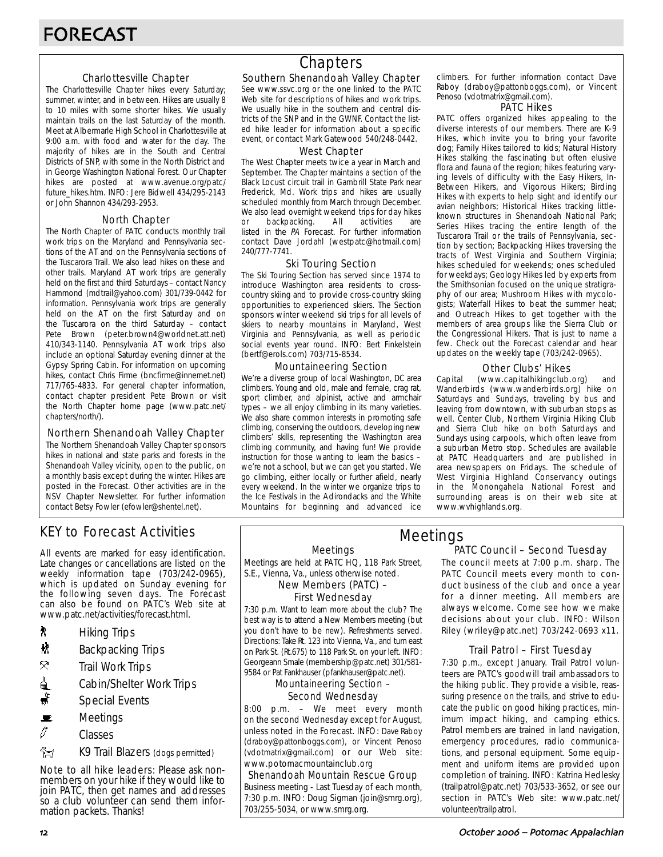#### Charlottesville Chapter

The Charlottesville Chapter hikes every Saturday; summer, winter, and in between. Hikes are usually 8 to 10 miles with some shorter hikes. We usually maintain trails on the last Saturday of the month. Meet at Albermarle High School in Charlottesville at 9:00 a.m. with food and water for the day. The majority of hikes are in the South and Central Districts of SNP, with some in the North District and in George Washington National Forest. Our Chapter hikes are posted at www.avenue.org/patc/ future\_hikes.htm. INFO: Jere Bidwell 434/295-2143 or John Shannon 434/293-2953.

#### North Chapter

The North Chapter of PATC conducts monthly trail work trips on the Maryland and Pennsylvania sections of the AT and on the Pennsylvania sections of the Tuscarora Trail. We also lead hikes on these and other trails. Maryland AT work trips are generally held on the first and third Saturdays – contact Nancy Hammond (mdtrail@yahoo.com) 301/739-0442 for information. Pennsylvania work trips are generally held on the AT on the first Saturday and on the Tuscarora on the third Saturday – contact Pete Brown (peter.brown4@worldnet.att.net) 410/343-1140. Pennsylvania AT work trips also include an optional Saturday evening dinner at the Gypsy Spring Cabin. For information on upcoming hikes, contact Chris Firme (bncfirme@innernet.net) 717/765-4833. For general chapter information, contact chapter president Pete Brown or visit the North Chapter home page (www.patc.net/ chapters/north/).

#### Northern Shenandoah Valley Chapter

The Northern Shenandoah Valley Chapter sponsors hikes in national and state parks and forests in the Shenandoah Valley vicinity, open to the public, on a monthly basis except during the winter. Hikes are posted in the Forecast. Other activities are in the NSV Chapter Newsletter. For further information contact Betsy Fowler (efowler@shentel.net).

# KEY to Forecast Activities

All events are marked for easy identification. Late changes or cancellations are listed on the weekly information tape (703/242-0965), which is updated on Sunday evening for the following seven days. The Forecast can also be found on PATC's Web site at www.patc.net/activities/forecast.html.

- **A** Hiking Trips
- $\mathbf{\ddot{x}}$  Backpacking Trips
- $\mathcal{R}$  Trail Work Trips
- <u>d</u> Cabin/Shelter Work Trips
- $\ddot{\bullet}$  Special Events
- $\mathbf{E}$  Meetings
- $\mathscr O$  Classes
- **EX** K9 Trail Blazers (dogs permitted)

Note to all hike leaders: Please ask nonmembers on your hike if they would like to join PATC, then get names and addresses so a club volunteer can send them information packets. Thanks!

# **Chapters**

### Southern Shenandoah Valley Chapter

See www.ssvc.org or the one linked to the PATC Web site for descriptions of hikes and work trips. We usually hike in the southern and central districts of the SNP and in the GWNF. Contact the listed hike leader for information about a specific event, or contact Mark Gatewood 540/248-0442.

#### West Chapter

The West Chapter meets twice a year in March and September. The Chapter maintains a section of the Black Locust circuit trail in Gambrill State Park near Frederick, Md. Work trips and hikes are usually scheduled monthly from March through December. We also lead overnight weekend trips for day hikes or backpacking. All activities are listed in the PA Forecast. For further information contact Dave Jordahl (westpatc@hotmail.com) 240/777-7741.

#### Ski Touring Section

The Ski Touring Section has served since 1974 to introduce Washington area residents to crosscountry skiing and to provide cross-country skiing opportunities to experienced skiers. The Section sponsors winter weekend ski trips for all levels of skiers to nearby mountains in Maryland, West Virginia and Pennsylvania, as well as periodic social events year round. INFO: Bert Finkelstein (bertf@erols.com) 703/715-8534.

#### Mountaineering Section

We're a diverse group of local Washington, DC area climbers. Young and old, male and female, crag rat, sport climber, and alpinist, active and armchair types – we all enjoy climbing in its many varieties. We also share common interests in promoting safe climbing, conserving the outdoors, developing new climbers' skills, representing the Washington area climbing community, and having fun! We provide instruction for those wanting to learn the basics – we're not a school, but we can get you started. We go climbing, either locally or further afield, nearly every weekend. In the winter we organize trips to the Ice Festivals in the Adirondacks and the White Mountains for beginning and advanced ice

climbers. For further information contact Dave Raboy (draboy@pattonboggs.com), or Vincent Penoso (vdotmatrix@gmail.com).

#### PATC Hikes

PATC offers organized hikes appealing to the diverse interests of our members. There are K-9 Hikes, which invite you to bring your favorite dog; Family Hikes tailored to kids; Natural History Hikes stalking the fascinating but often elusive flora and fauna of the region; hikes featuring varying levels of difficulty with the Easy Hikers, In-Between Hikers, and Vigorous Hikers; Birding Hikes with experts to help sight and identify our avian neighbors; Historical Hikes tracking littleknown structures in Shenandoah National Park; Series Hikes tracing the entire length of the Tuscarora Trail or the trails of Pennsylvania, section by section; Backpacking Hikes traversing the tracts of West Virginia and Southern Virginia; hikes scheduled for weekends; ones scheduled for weekdays; Geology Hikes led by experts from the Smithsonian focused on the unique stratigraphy of our area; Mushroom Hikes with mycologists; Waterfall Hikes to beat the summer heat; and Outreach Hikes to get together with the members of area groups like the Sierra Club or the Congressional Hikers. That is just to name a few. Check out the Forecast calendar and hear updates on the weekly tape (703/242-0965).

#### Other Clubs' Hikes

Capital (www.capitalhikingclub.org) and Wanderbirds (www.wanderbirds.org) hike on Saturdays and Sundays, traveling by bus and leaving from downtown, with suburban stops as well. Center Club, Northern Virginia Hiking Club and Sierra Club hike on both Saturdays and Sundays using carpools, which often leave from a suburban Metro stop. Schedules are available at PATC Headquarters and are published in area newspapers on Fridays. The schedule of West Virginia Highland Conservancy outings in the Monongahela National Forest and surrounding areas is on their web site at www.wvhighlands.org.

Meetings

Meetings are held at PATC HQ, 118 Park Street, S.E., Vienna, Va., unless otherwise noted.

New Members (PATC) –

# First Wednesday

7:30 p.m. Want to learn more about the club? The best way is to attend a New Members meeting (but you don't have to be new). Refreshments served. Directions: Take Rt. 123 into Vienna, Va., and turn east on Park St. (Rt.675) to 118 Park St. on your left. INFO: Georgeann Smale (membership@patc.net) 301/581- 9584 or Pat Fankhauser (pfankhauser@patc.net).

#### Mountaineering Section – Second Wednesday

8:00 p.m. – We meet every month on the second Wednesday except for August, unless noted in the Forecast. INFO: Dave Raboy (draboy@pattonboggs.com), or Vincent Penoso (vdotmatrix@gmail.com) or our Web site: www.potomacmountainclub.org

Shenandoah Mountain Rescue Group Business meeting - Last Tuesday of each month, 7:30 p.m. INFO: Doug Sigman (join@smrg.org), 703/255-5034, or www.smrg.org.

#### PATC Council – Second Tuesday Meetings

The council meets at 7:00 p.m. sharp. The PATC Council meets every month to conduct business of the club and once a year for a dinner meeting. All members are always welcome. Come see how we make decisions about your club. INFO: Wilson Riley (wriley@patc.net) 703/242-0693 x11.

#### Trail Patrol – First Tuesday

7:30 p.m., except January. Trail Patrol volunteers are PATC's goodwill trail ambassadors to the hiking public. They provide a visible, reassuring presence on the trails, and strive to educate the public on good hiking practices, minimum impact hiking, and camping ethics. Patrol members are trained in land navigation, emergency procedures, radio communications, and personal equipment. Some equipment and uniform items are provided upon completion of training. INFO: Katrina Hedlesky (trailpatrol@patc.net) 703/533-3652, or see our section in PATC's Web site: www.patc.net/ volunteer/trailpatrol.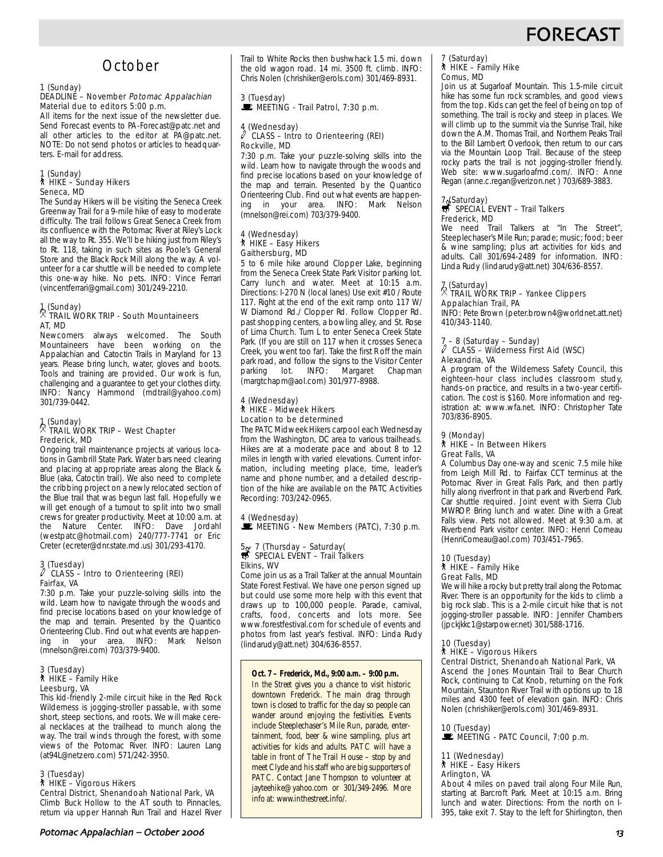# **FORECAS**

# **October**

#### 1 (Sunday)

#### DEADLINE - November Potomac Appalachian Material due to editors 5:00 p.m.

All items for the next issue of the newsletter due. Send Forecast events to PA-Forecast@patc.net and all other articles to the editor at PA@patc.net. NOTE: Do not send photos or articles to headquarters. E-mail for address.

## 1 (Sunday) ` HIKE – Sunday Hikers Seneca, MD

The Sunday Hikers will be visiting the Seneca Creek Greenway Trail for a 9-mile hike of easy to moderate difficulty. The trail follows Great Seneca Creek from its confluence with the Potomac River at Riley's Lock all the way to Rt. 355. We'll be hiking just from Riley's to Rt. 118, taking in such sites as Poole's General Store and the Black Rock Mill along the way. A volunteer for a car shuttle will be needed to complete this one-way hike. No pets. INFO: Vince Ferrari (vincentferrari@gmail.com) 301/249-2210.

### 1 (Sunday) . TRAIL WORK TRIP - South Mountaineers AT, MD

Newcomers always welcomed. The South Mountaineers have been working on the Appalachian and Catoctin Trails in Maryland for 13 years. Please bring lunch, water, gloves and boots. Tools and training are provided. Our work is fun, challenging and a guarantee to get your clothes dirty. INFO: Nancy Hammond (mdtrail@yahoo.com) 301/739-0442.

## 1 (Sunday) . TRAIL WORK TRIP – West Chapter Frederick, MD

Ongoing trail maintenance projects at various locations in Gambrill State Park. Water bars need clearing and placing at appropriate areas along the Black & Blue (aka, Catoctin trail). We also need to complete the cribbing project on a newly relocated section of the Blue trail that was begun last fall. Hopefully we will get enough of a turnout to split into two small crews for greater productivity. Meet at 10:00 a.m. at the Nature Center. INFO: Dave Jordahl (westpatc@hotmail.com) 240/777-7741 or Eric Creter (ecreter@dnr.state.md.us) 301/293-4170.

#### $\frac{3}{\ell}$  (Tuesday) CLASS – Intro to Orienteering (REI) Fairfax, VA

7:30 p.m. Take your puzzle-solving skills into the wild. Learn how to navigate through the woods and find precise locations based on your knowledge of the map and terrain. Presented by the Quantico Orienteering Club. Find out what events are happen-<br>ing in your area. INFO: Mark Nelson ing in your area. INFO: Mark Nelson (mnelson@rei.com) 703/379-9400.

## 3 (Tuesday) ` HIKE – Family Hike Leesburg, VA

This kid-friendly 2-mile circuit hike in the Red Rock Wilderness is jogging-stroller passable, with some short, steep sections, and roots. We will make cereal necklaces at the trailhead to munch along the way. The trail winds through the forest, with some views of the Potomac River. INFO: Lauren Lang (at94L@netzero.com) 571/242-3950.

#### 3 (Tuesday)

` HIKE – Vigorous Hikers

Central District, Shenandoah National Park, VA Climb Buck Hollow to the AT south to Pinnacles, return via upper Hannah Run Trail and Hazel River

# 3 (Tuesday)<br>■ MEETING - Trail Patrol, 7:30 p.m.

#### 4 (Wednesday) CLASS - Intro to Orienteering (REI) Rockville, MD

7:30 p.m. Take your puzzle-solving skills into the wild. Learn how to navigate through the woods and find precise locations based on your knowledge of the map and terrain. Presented by the Quantico Orienteering Club. Find out what events are happening in your area. INFO: Mark Nelson (mnelson@rei.com) 703/379-9400.

#### 4 (Wednesday) ` HIKE – Easy Hikers Gaithersburg, MD

5 to 6 mile hike around Clopper Lake, beginning from the Seneca Creek State Park Visitor parking lot. Carry lunch and water. Meet at 10:15 a.m. Directions: I-270 N (local lanes) Use exit #10 / Route 117. Right at the end of the exit ramp onto 117 W/ W Diamond Rd./ Clopper Rd. Follow Clopper Rd. past shopping centers, a bowling alley, and St. Rose of Lima Church. Turn L to enter Seneca Creek State Park. (If you are still on 117 when it crosses Seneca Creek, you went too far). Take the first R off the main park road, and follow the signs to the Visitor Center<br>parking lot. INFO: Margaret Chapman parking lot. INFO: Margaret (margtchapm@aol.com) 301/977-8988.

#### 4 (Wednesday) ` HIKE - Midweek Hikers Location to be determined

The PATC Midweek Hikers carpool each Wednesday from the Washington, DC area to various trailheads. Hikes are at a moderate pace and about 8 to 12 miles in length with varied elevations. Current information, including meeting place, time, leader's name and phone number, and a detailed description of the hike are available on the PATC Activities Recording: 703/242-0965.

# 4 (Wednesday)<br>■ MEETING - New Members (PATC), 7:30 p.m.

# 5 – 7 (Thursday – Saturday(<br>
SPECIAL EVENT – Trail Talkers Elkins, WV

Come join us as a Trail Talker at the annual Mountain State Forest Festival. We have one person signed up but could use some more help with this event that draws up to 100,000 people. Parade, carnival, crafts, food, concerts and lots more. See www.forestfestival.com for schedule of events and photos from last year's festival. INFO: Linda Rudy (lindarudy@att.net) 304/636-8557.

#### **Oct. 7 – Frederick, Md., 9:00 a.m. – 9:00 p.m.**

*In the Street* gives you a chance to visit historic downtown Frederick. The main drag through town is closed to traffic for the day so people can wander around enjoying the festivities. Events include Steeplechaser's Mile Run, parade, entertainment, food, beer & wine sampling, plus art activities for kids and adults. PATC will have a table in front of The Trail House – stop by and meet Clyde and his staff who are big supporters of PATC. Contact Jane Thompson to volunteer at jayteehike@yahoo.com or 301/349-2496. More info at: www.inthestreet.info/.

#### 7 (Saturday) ` HIKE – Family Hike Comus, MD

Join us at Sugarloaf Mountain. This 1.5-mile circuit hike has some fun rock scrambles, and good views from the top. Kids can get the feel of being on top of something. The trail is rocky and steep in places. We will climb up to the summit via the Sunrise Trail, hike down the A.M. Thomas Trail, and Northern Peaks Trail to the Bill Lambert Overlook, then return to our cars via the Mountain Loop Trail. Because of the steep rocky parts the trail is not jogging-stroller friendly. Web site: www.sugarloafmd.com/. INFO: Anne Regan (anne.c.regan@verizon.net ) 703/689-3883.

### 7 (Saturday)<br>SPECIAL EVENT – Trail Talkers Frederick, MD

We need Trail Talkers at "In The Street", Steeplechaser's Mile Run; parade; music; food; beer & wine sampling; plus art activities for kids and adults. Call 301/694-2489 for information. INFO: Linda Rudy (lindarudy@att.net) 304/636-8557.

# 7 (Saturday) . TRAIL WORK TRIP – Yankee Clippers

# Appalachian Trail, PA

INFO: Pete Brown (peter.brown4@worldnet.att.net) 410/343-1140.

#### 7 – 8 (Saturday – Sunday) a CLASS – Wilderness First Aid (WSC) Alexandria, VA

A program of the Wilderness Safety Council, this eighteen-hour class includes classroom study, hands-on practice, and results in a two-year certification. The cost is \$160. More information and registration at: www.wfa.net. INFO: Christopher Tate 703/836-8905.

#### 9 (Monday) ` HIKE – In Between Hikers Great Falls, VA

A Columbus Day one-way and scenic 7.5 mile hike from Leigh Mill Rd. to Fairfax CCT terminus at the Potomac River in Great Falls Park, and then partly hilly along riverfront in that park and Riverbend Park. Car shuttle required. Joint event with Sierra Club MWROP. Bring lunch and water. Dine with a Great Falls view. Pets not allowed. Meet at 9:30 a.m. at Riverbend Park visitor center. INFO: Henri Comeau (HenriComeau@aol.com) 703/451-7965.

#### 10 (Tuesday) ` HIKE – Family Hike Great Falls, MD

We will hike a rocky but pretty trail along the Potomac River. There is an opportunity for the kids to climb a big rock slab. This is a 2-mile circuit hike that is not jogging-stroller passable. INFO: Jennifer Chambers (jpckjkkc1@starpower.net) 301/588-1716.

## 10 (Tuesday)

#### ` HIKE – Vigorous Hikers

Central District, Shenandoah National Park, VA

Ascend the Jones Mountain Trail to Bear Church Rock, continuing to Cat Knob, returning on the Fork Mountain, Staunton River Trail with options up to 18 miles and 4300 feet of elevation gain. INFO: Chris Nolen (chrishiker@erols.com) 301/469-8931.

10 (Tuesday)<br>■ MEETING - PATC Council, 7:00 p.m.

#### 11 (Wednesday) ` HIKE – Easy Hikers Arlington, VA

About 4 miles on paved trail along Four Mile Run, starting at Barcroft Park. Meet at 10:15 a.m. Bring lunch and water. Directions: From the north on I-395, take exit 7. Stay to the left for Shirlington, then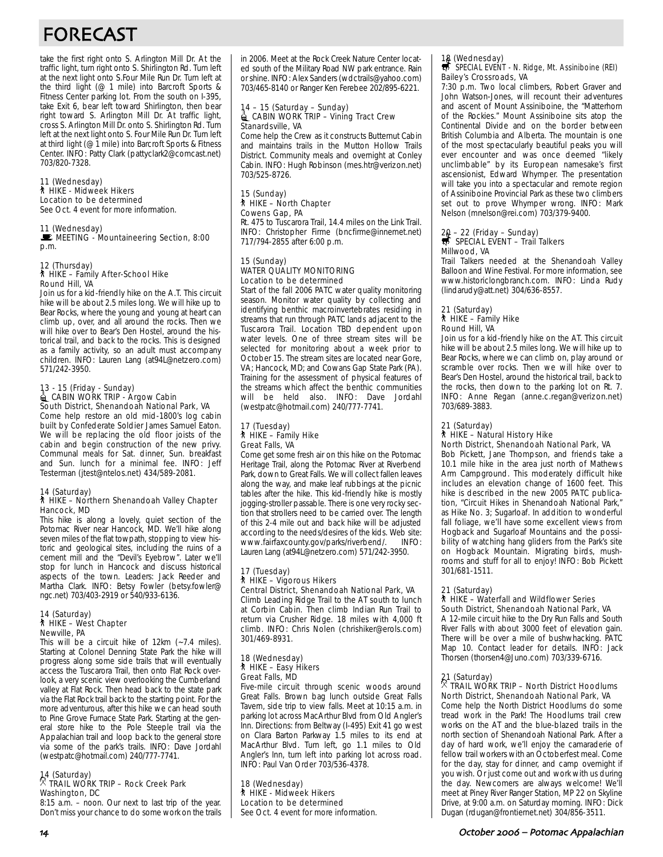# FORECAST

take the first right onto S. Arlington Mill Dr. At the traffic light, turn right onto S. Shirlington Rd. Turn left at the next light onto S.Four Mile Run Dr. Turn left at the third light (@ 1 mile) into Barcroft Sports & Fitness Center parking lot. From the south on I-395, take Exit 6, bear left toward Shirlington, then bear right toward S. Arlington Mill Dr. At traffic light, cross S. Arlington Mill Dr. onto S. Shirlington Rd. Turn left at the next light onto S. Four Mile Run Dr. Turn left at third light (@ 1 mile) into Barcroft Sports & Fitness Center. INFO: Patty Clark (pattyclark2@comcast.net) 703/820-7328.

#### 11 (Wednesday) ` HIKE - Midweek Hikers

Location to be determined See Oct. 4 event for more information.

#### 11 (Wednesday)

#### $\blacksquare$  MEETING - Mountaineering Section, 8:00 p.m.

12 (Thursday) ` HIKE – Family After-School Hike Round Hill, VA

Join us for a kid-friendly hike on the A.T. This circuit hike will be about 2.5 miles long. We will hike up to Bear Rocks, where the young and young at heart can climb up, over, and all around the rocks. Then we will hike over to Bear's Den Hostel, around the historical trail, and back to the rocks. This is designed as a family activity, so an adult must accompany children. INFO: Lauren Lang (at94L@netzero.com) 571/242-3950.

# 13 - 15 (Friday - Sunday)<br>■ CABIN WORK TRIP - Argow Cabin South District, Shenandoah National Park, VA

Come help restore an old mid-1800's log cabin built by Confederate Soldier James Samuel Eaton. We will be replacing the old floor joists of the cabin and begin construction of the new privy. Communal meals for Sat. dinner, Sun. breakfast and Sun. lunch for a minimal fee. INFO: Jeff Testerman (jtest@ntelos.net) 434/589-2081.

## 14 (Saturday) ` HIKE – Northern Shenandoah Valley Chapter Hancock, MD

This hike is along a lovely, quiet section of the Potomac River near Hancock, MD. We'll hike along seven miles of the flat towpath, stopping to view historic and geological sites, including the ruins of a cement mill and the "Devil's Eyebrow". Later we'll stop for lunch in Hancock and discuss historical aspects of the town. Leaders: Jack Reeder and Martha Clark. INFO: Betsy Fowler (betsy.fowler@ ngc.net) 703/403-2919 or 540/933-6136.

#### 14 (Saturday) ` HIKE – West Chapter

Newville, PA

This will be a circuit hike of 12km (~7.4 miles). Starting at Colonel Denning State Park the hike will progress along some side trails that will eventually access the Tuscarora Trail, then onto Flat Rock overlook, a very scenic view overlooking the Cumberland valley at Flat Rock. Then head back to the state park via the Flat Rock trail back to the starting point. For the more adventurous, after this hike we can head south to Pine Grove Furnace State Park. Starting at the general store hike to the Pole Steeple trail via the Appalachian trail and loop back to the general store via some of the park's trails. INFO: Dave Jordahl (westpatc@hotmail.com) 240/777-7741.

## 14 (Saturday) . TRAIL WORK TRIP – Rock Creek Park Washington, DC

8:15 a.m. – noon. Our next to last trip of the year. Don't miss your chance to do some work on the trails in 2006. Meet at the Rock Creek Nature Center located south of the Military Road NW park entrance. Rain or shine. INFO: Alex Sanders (wdctrails@yahoo.com) 703/465-8140 or Ranger Ken Ferebee 202/895-6221.

#### 14 – 15 (Saturday – Sunday) **△ CABIN WORK TRIP – Vining Tract Crew** Stanardsville, VA

Come help the Crew as it constructs Butternut Cabin and maintains trails in the Mutton Hollow Trails District. Community meals and overnight at Conley Cabin. INFO: Hugh Robinson (mes.htr@verizon.net) 703/525-8726.

#### 15 (Sunday) ` HIKE – North Chapter Cowens Gap, PA

Rt. 475 to Tuscarora Trail, 14.4 miles on the Link Trail. INFO: Christopher Firme (bncfirme@innernet.net) 717/794-2855 after 6:00 p.m.

#### 15 (Sunday) WATER QUALITY MONITORING Location to be determined

Start of the fall 2006 PATC water quality monitoring season. Monitor water quality by collecting and identifying benthic macroinvertebrates residing in streams that run through PATC lands adjacent to the Tuscarora Trail. Location TBD dependent upon water levels. One of three stream sites will be selected for monitoring about a week prior to October 15. The stream sites are located near Gore, VA; Hancock, MD; and Cowans Gap State Park (PA). Training for the assessment of physical features of the streams which affect the benthic communities will be held also. INFO: Dave Jordahl (westpatc@hotmail.com) 240/777-7741.

#### 17 (Tuesday) ` HIKE – Family Hike Great Falls, VA

Come get some fresh air on this hike on the Potomac Heritage Trail, along the Potomac River at Riverbend Park, down to Great Falls. We will collect fallen leaves along the way, and make leaf rubbings at the picnic tables after the hike. This kid-friendly hike is mostly jogging-stroller passable. There is one very rocky section that strollers need to be carried over. The length of this 2-4 mile out and back hike will be adjusted according to the needs/desires of the kids. Web site:<br>www.fairfaxcounty.gov/parks/riverbend/. INFO: www.fairfaxcounty.gov/parks/riverbend/. Lauren Lang (at94L@netzero.com) 571/242-3950.

#### 17 (Tuesday) ` HIKE – Vigorous Hikers Central District, Shenandoah National Park, VA

Climb Leading Ridge Trail to the AT south to lunch at Corbin Cabin. Then climb Indian Run Trail to return via Crusher Ridge. 18 miles with 4,000 ft climb. INFO: Chris Nolen (chrishiker@erols.com) 301/469-8931.

#### 18 (Wednesday) ` HIKE – Easy Hikers Great Falls, MD

Five-mile circuit through scenic woods around Great Falls. Brown bag lunch outside Great Falls Tavern, side trip to view falls. Meet at 10:15 a.m. in parking lot across MacArthur Blvd from Old Angler's Inn. Directions: from Beltway (I-495) Exit 41 go west on Clara Barton Parkway 1.5 miles to its end at MacArthur Blvd. Turn left, go 1.1 miles to Old Angler's Inn, turn left into parking lot across road. INFO: Paul Van Order 703/536-4378.

18 (Wednesday) ` HIKE - Midweek Hikers Location to be determined See Oct. 4 event for more information.

## 18 (Wednesday)<br>
SPECIAL EVENT - N. Ridge, Mt. Assiniboine (REI) Bailey's Crossroads, VA

7:30 p.m. Two local climbers, Robert Graver and John Watson-Jones, will recount their adventures and ascent of Mount Assiniboine, the "Matterhorn of the Rockies." Mount Assiniboine sits atop the Continental Divide and on the border between British Columbia and Alberta. The mountain is one of the most spectacularly beautiful peaks you will ever encounter and was once deemed "likely unclimbable" by its European namesake's first ascensionist, Edward Whymper. The presentation will take you into a spectacular and remote region of Assiniboine Provincial Park as these two climbers set out to prove Whymper wrong. INFO: Mark Nelson (mnelson@rei.com) 703/379-9400.

## 20 – 22 (Friday – Sunday)<br><del>s</del> SPECIAL EVENT – Trail Talkers Millwood, VA

Trail Talkers needed at the Shenandoah Valley Balloon and Wine Festival. For more information, see www.historiclongbranch.com. INFO: Linda Rudy (lindarudy@att.net) 304/636-8557.

#### 21 (Saturday) ` HIKE – Family Hike Round Hill, VA

Join us for a kid-friendly hike on the AT. This circuit hike will be about 2.5 miles long. We will hike up to Bear Rocks, where we can climb on, play around or scramble over rocks. Then we will hike over to Bear's Den Hostel, around the historical trail, back to the rocks, then down to the parking lot on Rt. 7. INFO: Anne Regan (anne.c.regan@verizon.net) 703/689-3883.

### 21 (Saturday)

#### ` HIKE – Natural History Hike North District, Shenandoah National Park, VA

Bob Pickett, Jane Thompson, and friends take a 10.1 mile hike in the area just north of Mathews Arm Campground. This moderately difficult hike includes an elevation change of 1600 feet. This hike is described in the new 2005 PATC publication, "Circuit Hikes in Shenandoah National Park," as Hike No. 3; Sugarloaf. In addition to wonderful fall foliage, we'll have some excellent views from Hogback and Sugarloaf Mountains and the possibility of watching hang gliders from the Park's site on Hogback Mountain. Migrating birds, mushrooms and stuff for all to enjoy! INFO: Bob Pickett 301/681-1511.

#### 21 (Saturday)

#### ` HIKE – Waterfall and Wildflower Series South District, Shenandoah National Park, VA

A 12-mile circuit hike to the Dry Run Falls and South River Falls with about 3000 feet of elevation gain. There will be over a mile of bushwhacking. PATC Map 10. Contact leader for details. INFO: Jack Thorsen (thorsen4@Juno.com) 703/339-6716.

## 21 (Saturday) . TRAIL WORK TRIP – North District Hoodlums North District, Shenandoah National Park, VA

Come help the North District Hoodlums do some tread work in the Park! The Hoodlums trail crew works on the AT and the blue-blazed trails in the north section of Shenandoah National Park. After a day of hard work, we'll enjoy the camaraderie of fellow trail workers with an Octoberfest meal. Come for the day, stay for dinner, and camp overnight if you wish. Or just come out and work with us during the day. Newcomers are always welcome! We'll meet at Piney River Ranger Station, MP 22 on Skyline Drive, at 9:00 a.m. on Saturday morning. INFO: Dick Dugan (rdugan@frontiernet.net) 304/856-3511.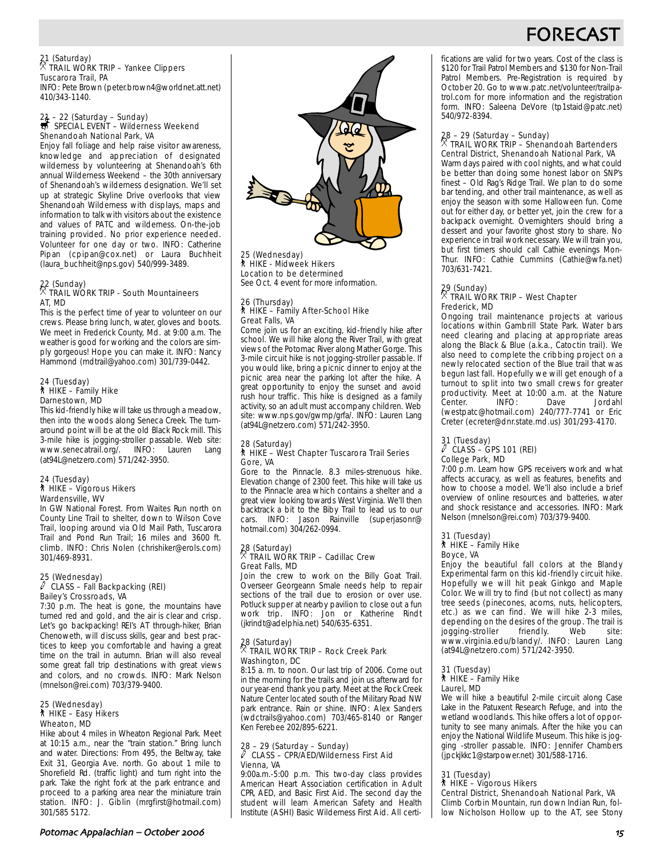# FORECA<sup></sup>

#### 21 (Saturday) . TRAIL WORK TRIP – Yankee Clippers Tuscarora Trail, PA

INFO: Pete Brown (peter.brown4@worldnet.att.net) 410/343-1140.

# 21 – 22 (Saturday – Sunday)<br>第 SPECIAL EVENT – Wilderness Weekend Shenandoah National Park, VA

Enjoy fall foliage and help raise visitor awareness, knowledge and appreciation of designated wilderness by volunteering at Shenandoah's 6th annual Wilderness Weekend – the 30th anniversary of Shenandoah's wilderness designation. We'll set up at strategic Skyline Drive overlooks that view Shenandoah Wilderness with displays, maps and information to talk with visitors about the existence and values of PATC and wilderness. On-the-job training provided. No prior experience needed. Volunteer for one day or two. INFO: Catherine Pipan (cpipan@cox.net) or Laura Buchheit (laura\_buchheit@nps.gov) 540/999-3489.

#### 22 (Sunday) . TRAIL WORK TRIP - South Mountaineers AT, MD

This is the perfect time of year to volunteer on our crews. Please bring lunch, water, gloves and boots. We meet in Frederick County, Md. at 9:00 a.m. The weather is good for working and the colors are simply gorgeous! Hope you can make it. INFO: Nancy Hammond (mdtrail@yahoo.com) 301/739-0442.

#### 24 (Tuesday) ` HIKE – Family Hike Darnestown, MD

This kid-friendly hike will take us through a meadow, then into the woods along Seneca Creek. The turnaround point will be at the old Black Rock mill. This 3-mile hike is jogging-stroller passable. Web site: www.senecatrail.org/. INFO: Lauren Lang (at94L@netzero.com) 571/242-3950.

#### 24 (Tuesday) ` HIKE – Vigorous Hikers Wardensville, WV

In GW National Forest. From Waites Run north on County Line Trail to shelter, down to Wilson Cove Trail, looping around via Old Mail Path, Tuscarora Trail and Pond Run Trail; 16 miles and 3600 ft. climb. INFO: Chris Nolen (chrishiker@erols.com) 301/469-8931.

#### 25 (Wednesday)  $\ell$  CLASS – Fall Backpacking (REI) Bailey's Crossroads, VA

7:30 p.m. The heat is gone, the mountains have turned red and gold, and the air is clear and crisp. Let's go backpacking! REI's AT through-hiker, Brian Chenoweth, will discuss skills, gear and best practices to keep you comfortable and having a great time on the trail in autumn. Brian will also reveal some great fall trip destinations with great views and colors, and no crowds. INFO: Mark Nelson (mnelson@rei.com) 703/379-9400.

#### 25 (Wednesday) ` HIKE – Easy Hikers Wheaton, MD

Hike about 4 miles in Wheaton Regional Park. Meet at 10:15 a.m., near the "train station." Bring lunch and water. Directions: From 495, the Beltway, take Exit 31, Georgia Ave. north. Go about 1 mile to Shorefield Rd. (traffic light) and turn right into the park. Take the right fork at the park entrance and proceed to a parking area near the miniature train station. INFO: J. Giblin (mrgfirst@hotmail.com) 301/585 5172.



25 (Wednesday) **The Commodity, All Hikers** Location to be determined See Oct. 4 event for more information.

#### 26 (Thursday) ` HIKE – Family After-School Hike Great Falls, VA

Come join us for an exciting, kid-friendly hike after school. We will hike along the River Trail, with great views of the Potomac River along Mather Gorge. This 3-mile circuit hike is not jogging-stroller passable. If you would like, bring a picnic dinner to enjoy at the picnic area near the parking lot after the hike. A great opportunity to enjoy the sunset and avoid rush hour traffic. This hike is designed as a family activity, so an adult must accompany children. Web site: www.nps.gov/gwmp/grfa/. INFO: Lauren Lang (at94L@netzero.com) 571/242-3950.

#### 28 (Saturday) ` HIKE – West Chapter Tuscarora Trail Series Gore, VA

Gore to the Pinnacle. 8.3 miles-strenuous hike. Elevation change of 2300 feet. This hike will take us to the Pinnacle area which contains a shelter and a great view looking towards West Virginia. We'll then backtrack a bit to the Biby Trail to lead us to our cars. INFO: Jason Rainville (superjasonr@ hotmail.com) 304/262-0994.

# 28 (Saturday) . TRAIL WORK TRIP – Cadillac Crew Great Falls, MD

Join the crew to work on the Billy Goat Trail. Overseer Georgeann Smale needs help to repair sections of the trail due to erosion or over use. Potluck supper at nearby pavilion to close out a fun work trip. INFO: Jon or Katherine Rindt (jkrindt@adelphia.net) 540/635-6351.

## 28 (Saturday) . TRAIL WORK TRIP – Rock Creek Park Washington, DC

8:15 a. m. to noon. Our last trip of 2006. Come out in the morning for the trails and join us afterward for our year-end thank you party. Meet at the Rock Creek Nature Center located south of the Military Road NW park entrance. Rain or shine. INFO: Alex Sanders (wdctrails@yahoo.com) 703/465-8140 or Ranger Ken Ferebee 202/895-6221.

#### 28 – 29 (Saturday – Sunday)<br>
CLASS – CRRAS DAMER (MARILLE) a CLASS – CPR/AED/Wilderness First Aid Vienna, VA

9:00a.m.-5:00 p.m. This two-day class provides American Heart Association certification in Adult CPR, AED, and Basic First Aid. The second day the student will learn American Safety and Health Institute (ASHI) Basic Wilderness First Aid. All certifications are valid for two years. Cost of the class is \$120 for Trail Patrol Members and \$130 for Non-Trail Patrol Members. Pre-Registration is required by October 20. Go to www.patc.net/volunteer/trailpatrol.com for more information and the registration form. INFO: Saleena DeVore (tp1staid@patc.net) 540/972-8394.

# 28 – 29 (Saturday – Sunday) . TRAIL WORK TRIP – Shenandoah Bartenders

Central District, Shenandoah National Park, VA Warm days paired with cool nights, and what could be better than doing some honest labor on SNP's finest – Old Rag's Ridge Trail. We plan to do some bar tending, and other trail maintenance, as well as enjoy the season with some Halloween fun. Come out for either day, or better yet, join the crew for a backpack overnight. Overnighters should bring a dessert and your favorite ghost story to share. No experience in trail work necessary. We will train you, but first timers should call Cathie evenings Mon-Thur. INFO: Cathie Cummins (Cathie@wfa.net) 703/631-7421.

## 29 (Sunday) . TRAIL WORK TRIP – West Chapter Frederick, MD

Ongoing trail maintenance projects at various locations within Gambrill State Park. Water bars need clearing and placing at appropriate areas along the Black & Blue (a.k.a., Catoctin trail). We also need to complete the cribbing project on a newly relocated section of the Blue trail that was begun last fall. Hopefully we will get enough of a turnout to split into two small crews for greater productivity. Meet at 10:00 a.m. at the Nature Center. INFO: Dave Jordahl (westpatc@hotmail.com) 240/777-7741 or Eric Creter (ecreter@dnr.state.md.us) 301/293-4170.

## 31 (Tuesday) a CLASS – GPS 101 (REI) College Park, MD

7:00 p.m. Learn how GPS receivers work and what affects accuracy, as well as features, benefits and how to choose a model. We'll also include a brief overview of online resources and batteries, water and shock resistance and accessories. INFO: Mark Nelson (mnelson@rei.com) 703/379-9400.

#### 31 (Tuesday) ` HIKE – Family Hike Boyce, VA

Enjoy the beautiful fall colors at the Blandy Experimental farm on this kid-friendly circuit hike. Hopefully we will hit peak Ginkgo and Maple Color. We will try to find (but not collect) as many tree seeds (pinecones, acorns, nuts, helicopters, etc.) as we can find. We will hike 2-3 miles, depending on the desires of the group. The trail is jogging-stroller friendly. Web site: www.virginia.edu/blandy/. INFO: Lauren Lang (at94L@netzero.com) 571/242-3950.

## 31 (Tuesday) ` HIKE – Family Hike Laurel, MD

We will hike a beautiful 2-mile circuit along Case Lake in the Patuxent Research Refuge, and into the wetland woodlands. This hike offers a lot of opportunity to see many animals. After the hike you can enjoy the National Wildlife Museum. This hike is jogging -stroller passable. INFO: Jennifer Chambers (jpckjkkc1@starpower.net) 301/588-1716.

#### 31 (Tuesday)

## \* HIKE – Vigorous Hikers

Central District, Shenandoah National Park, VA Climb Corbin Mountain, run down Indian Run, follow Nicholson Hollow up to the AT, see Stony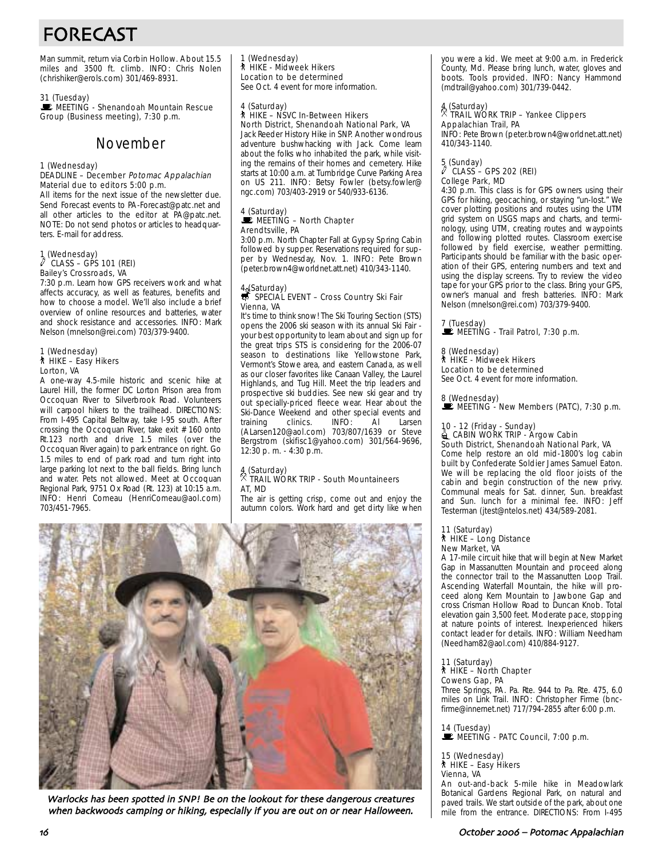# FORECAST

Man summit, return via Corbin Hollow. About 15.5 miles and 3500 ft. climb. INFO: Chris Nolen (chrishiker@erols.com) 301/469-8931.

31 (Tuesday)<br>■ MEETING - Shenandoah Mountain Rescue Group (Business meeting), 7:30 p.m.

# November

#### 1 (Wednesday)

#### DEADLINE – December Potomac Appalachian Material due to editors 5:00 p.m.

All items for the next issue of the newsletter due. Send Forecast events to PA-Forecast@patc.net and all other articles to the editor at PA@patc.net. NOTE: Do not send photos or articles to headquarters. E-mail for address.

# 1 (Wednesday) a CLASS – GPS 101 (REI) Bailey's Crossroads, VA

7:30 p.m. Learn how GPS receivers work and what affects accuracy, as well as features, benefits and how to choose a model. We'll also include a brief overview of online resources and batteries, water and shock resistance and accessories. INFO: Mark Nelson (mnelson@rei.com) 703/379-9400.

#### 1 (Wednesday) ` HIKE – Easy Hikers Lorton, VA

A one-way 4.5-mile historic and scenic hike at Laurel Hill, the former DC Lorton Prison area from Occoquan River to Silverbrook Road. Volunteers will carpool hikers to the trailhead. DIRECTIONS: From I-495 Capital Beltway, take I-95 south. After crossing the Occoquan River, take exit # 160 onto Rt.123 north and drive 1.5 miles (over the Occoquan River again) to park entrance on right. Go 1.5 miles to end of park road and turn right into large parking lot next to the ball fields. Bring lunch and water. Pets not allowed. Meet at Occoquan Regional Park, 9751 Ox Road (Rt. 123) at 10:15 a.m. INFO: Henri Comeau (HenriComeau@aol.com) 703/451-7965.

1 (Wednesday) ` HIKE - Midweek Hikers Location to be determined

See Oct. 4 event for more information.

#### 4 (Saturday) ` HIKE – NSVC In-Between Hikers North District, Shenandoah National Park, VA

Jack Reeder History Hike in SNP. Another wondrous adventure bushwhacking with Jack. Come learn about the folks who inhabited the park, while visiting the remains of their homes and cemetery. Hike starts at 10:00 a.m. at Turnbridge Curve Parking Area on US 211. INFO: Betsy Fowler (betsy.fowler@ ngc.com) 703/403-2919 or 540/933-6136.

#### 4 (Saturday)  $\mathbb E$  MEETING – North Chapter Arendtsville, PA

3:00 p.m. North Chapter Fall at Gypsy Spring Cabin followed by supper. Reservations required for supper by Wednesday, Nov. 1. INFO: Pete Brown (peter.brown4@worldnet.att.net) 410/343-1140.

## 4 (Saturday)<br>₩ SPECIAL EVENT – Cross Country Ski Fair Vienna, VA

It's time to think snow! The Ski Touring Section (STS) opens the 2006 ski season with its annual Ski Fair your best opportunity to learn about and sign up for the great trips STS is considering for the 2006-07 season to destinations like Yellowstone Park, Vermont's Stowe area, and eastern Canada, as well as our closer favorites like Canaan Valley, the Laurel Highlands, and Tug Hill. Meet the trip leaders and prospective ski buddies. See new ski gear and try out specially-priced fleece wear. Hear about the Ski-Dance Weekend and other special events and<br>training clinics. INFO: Al Larsen training (ALarsen120@aol.com) 703/807/1639 or Steve Bergstrom (skifisc1@yahoo.com) 301/564-9696, 12:30 p. m. - 4:30 p.m.

### 4 (Saturday) . TRAIL WORK TRIP - South Mountaineers AT, MD

The air is getting crisp, come out and enjoy the autumn colors. Work hard and get dirty like when



Warlocks has been spotted in SNP! Be on the lookout for these dangerous creatures when backwoods camping or hiking, especially if you are out on or near Halloween.

you were a kid. We meet at 9:00 a.m. in Frederick County, Md. Please bring lunch, water, gloves and boots. Tools provided. INFO: Nancy Hammond (mdtrail@yahoo.com) 301/739-0442.

### 4 (Saturday) . TRAIL WORK TRIP – Yankee Clippers Appalachian Trail, PA

INFO: Pete Brown (peter.brown4@worldnet.att.net) 410/343-1140.

### 5 (Sunday) a CLASS – GPS 202 (REI) College Park, MD

4:30 p.m. This class is for GPS owners using their GPS for hiking, geocaching, or staying "un-lost." We cover plotting positions and routes using the UTM grid system on USGS maps and charts, and terminology, using UTM, creating routes and waypoints and following plotted routes. Classroom exercise followed by field exercise, weather permitting. Participants should be familiar with the basic operation of their GPS, entering numbers and text and using the display screens. Try to review the video tape for your GPS prior to the class. Bring your GPS, owner's manual and fresh batteries. INFO: Mark Nelson (mnelson@rei.com) 703/379-9400.

7 (Tuesday)  $\mathbf{\dot{E}}$  MEETING - Trail Patrol, 7:30 p.m.

8 (Wednesday) ` HIKE - Midweek Hikers Location to be determined See Oct. 4 event for more information.

8 (Wednesday)  $\mathbb{R}$  MEETING - New Members (PATC), 7:30 p.m.

# 10 - 12 (Friday - Sunday)<br>▒ CABIN WORK TRIP - Argow Cabin

South District, Shenandoah National Park, VA Come help restore an old mid-1800's log cabin built by Confederate Soldier James Samuel Eaton. We will be replacing the old floor joists of the cabin and begin construction of the new privy. Communal meals for Sat. dinner, Sun. breakfast and Sun. lunch for a minimal fee. INFO: Jeff Testerman (jtest@ntelos.net) 434/589-2081.

#### 11 (Saturday) ` HIKE – Long Distance New Market, VA

A 17-mile circuit hike that will begin at New Market Gap in Massanutten Mountain and proceed along the connector trail to the Massanutten Loop Trail. Ascending Waterfall Mountain, the hike will proceed along Kern Mountain to Jawbone Gap and cross Crisman Hollow Road to Duncan Knob. Total elevation gain 3,500 feet. Moderate pace, stopping at nature points of interest. Inexperienced hikers contact leader for details. INFO: William Needham (Needham82@aol.com) 410/884-9127.

11 (Saturday)

#### ` HIKE – North Chapter Cowens Gap, PA

Three Springs, PA. Pa. Rte. 944 to Pa. Rte. 475, 6.0 miles on Link Trail. INFO: Christopher Firme (bncfirme@innernet.net) 717/794-2855 after 6:00 p.m.

14 (Tuesday)<br>■ MEETING - PATC Council, 7:00 p.m.

15 (Wednesday) ` HIKE – Easy Hikers Vienna, VA

An out-and-back 5-mile hike in Meadowlark Botanical Gardens Regional Park, on natural and paved trails. We start outside of the park, about one mile from the entrance. DIRECTIONS: From I-495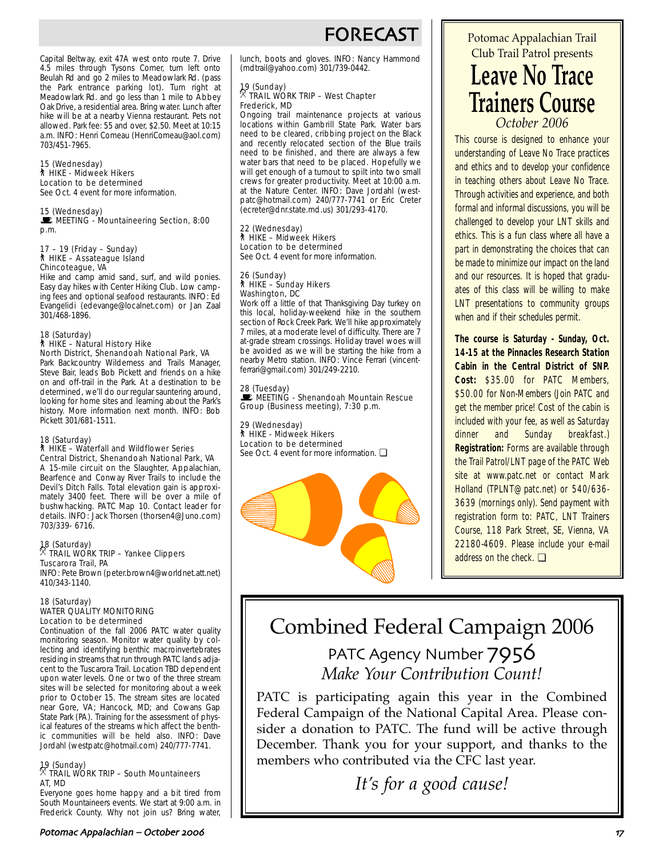# **FORECAS**

Capital Beltway, exit 47A west onto route 7. Drive 4.5 miles through Tysons Corner, turn left onto Beulah Rd and go 2 miles to Meadowlark Rd. (pass the Park entrance parking lot). Turn right at Meadowlark Rd. and go less than 1 mile to Abbey Oak Drive, a residential area. Bring water. Lunch after hike will be at a nearby Vienna restaurant. Pets not allowed. Park fee: 55 and over, \$2.50. Meet at 10:15 a.m. INFO: Henri Comeau (HenriComeau@aol.com) 703/451-7965.

#### 15 (Wednesday) ` HIKE - Midweek Hikers Location to be determined

See Oct. 4 event for more information.

15 (Wednesday)<br>■ MEETING - Mountaineering Section, 8:00 p.m.

#### 17 – 19 (Friday – Sunday) ` HIKE – Assateague Island Chincoteague, VA

Hike and camp amid sand, surf, and wild ponies. Easy day hikes with Center Hiking Club. Low camping fees and optional seafood restaurants. INFO: Ed Evangelidi (edevange@localnet.com) or Jan Zaal 301/468-1896.

#### 18 (Saturday) ` HIKE – Natural History Hike North District, Shenandoah National Park, VA

Park Backcountry Wilderness and Trails Manager, Steve Bair, leads Bob Pickett and friends on a hike on and off-trail in the Park. At a destination to be determined, we'll do our regular sauntering around, looking for home sites and learning about the Park's history. More information next month. INFO: Bob Pickett 301/681-1511.

#### 18 (Saturday) ` HIKE – Waterfall and Wildflower Series

Central District, Shenandoah National Park, VA A 15-mile circuit on the Slaughter, Appalachian, Bearfence and Conway River Trails to include the Devil's Ditch Falls. Total elevation gain is approximately 3400 feet. There will be over a mile of bushwhacking. PATC Map 10. Contact leader for details. INFO: Jack Thorsen (thorsen4@Juno.com) 703/339- 6716.

#### 18 (Saturday) . TRAIL WORK TRIP – Yankee Clippers Tuscarora Trail, PA INFO: Pete Brown (peter.brown4@worldnet.att.net)

410/343-1140.

#### 18 (Saturday) WATER QUALITY MONITORING Location to be determined

Continuation of the fall 2006 PATC water quality monitoring season. Monitor water quality by collecting and identifying benthic macroinvertebrates residing in streams that run through PATC lands adjacent to the Tuscarora Trail. Location TBD dependent upon water levels. One or two of the three stream sites will be selected for monitoring about a week prior to October 15. The stream sites are located near Gore, VA; Hancock, MD; and Cowans Gap State Park (PA). Training for the assessment of physical features of the streams which affect the benthic communities will be held also. INFO: Dave Jordahl (westpatc@hotmail.com) 240/777-7741.

#### 19 (Sunday) . TRAIL WORK TRIP – South Mountaineers AT, MD

Everyone goes home happy and a bit tired from South Mountaineers events. We start at 9:00 a.m. in Frederick County. Why not join us? Bring water,

lunch, boots and gloves. INFO: Nancy Hammond (mdtrail@yahoo.com) 301/739-0442.

### 19 (Sunday) . TRAIL WORK TRIP – West Chapter Frederick, MD

Ongoing trail maintenance projects at various locations within Gambrill State Park. Water bars need to be cleared, cribbing project on the Black and recently relocated section of the Blue trails need to be finished, and there are always a few water bars that need to be placed. Hopefully we will get enough of a turnout to spilt into two small crews for greater productivity. Meet at 10:00 a.m. at the Nature Center. INFO: Dave Jordahl (westpatc@hotmail.com) 240/777-7741 or Eric Creter (ecreter@dnr.state.md.us) 301/293-4170.

## 22 (Wednesday) ` HIKE – Midweek Hikers Location to be determined

See Oct. 4 event for more information.

# 26 (Sunday) ` HIKE – Sunday Hikers Washington, DC

Work off a little of that Thanksgiving Day turkey on this local, holiday-weekend hike in the southern section of Rock Creek Park. We'll hike approximately 7 miles, at a moderate level of difficulty. There are 7 at-grade stream crossings. Holiday travel woes will be avoided as we will be starting the hike from a nearby Metro station. INFO: Vince Ferrari (vincentferrari@gmail.com) 301/249-2210.

28 (Tuesday)<br>■ MEETING - Shenandoah Mountain Rescue Group (Business meeting), 7:30 p.m.

29 (Wednesday) ` HIKE - Midweek Hikers Location to be determined See Oct. 4 event for more information. □



# Potomac Appalachian Trail Club Trail Patrol presents **Leave No Trace**

**Trainers Course** *October 2006*

This course is designed to enhance your understanding of Leave No Trace practices and ethics and to develop your confidence in teaching others about Leave No Trace. Through activities and experience, and both formal and informal discussions, you will be challenged to develop your LNT skills and ethics. This is a fun class where all have a part in demonstrating the choices that can be made to minimize our impact on the land and our resources. It is hoped that graduates of this class will be willing to make LNT presentations to community groups when and if their schedules permit.

**The course is Saturday - Sunday, Oct. 14-15 at the Pinnacles Research Station Cabin in the Central District of SNP. Cost:** \$35.00 for PATC Members, \$50.00 for Non-Members (Join PATC and get the member price! Cost of the cabin is included with your fee, as well as Saturday dinner and Sunday breakfast.) **Registration:** Forms are available through the Trail Patrol/LNT page of the PATC Web site at www.patc.net or contact Mark Holland (TPLNT@patc.net) or 540/636- 3639 (mornings only). Send payment with registration form to: PATC, LNT Trainers Course, 118 Park Street, SE, Vienna, VA 22180-4609. Please include your e-mail address on the check. ❏

# Combined Federal Campaign 2006 PATC Agency Number 7956 *Make Your Contribution Count!*

PATC is participating again this year in the Combined Federal Campaign of the National Capital Area. Please consider a donation to PATC. The fund will be active through December. Thank you for your support, and thanks to the members who contributed via the CFC last year.

*It's for a good cause!*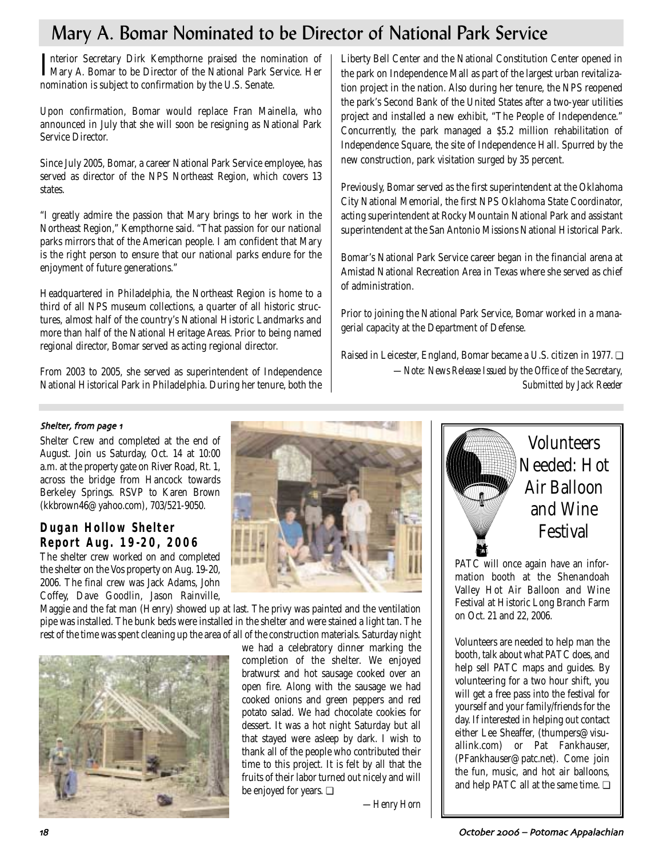# Mary A. Bomar Nominated to be Director of National Park Service

Interior Secretary Dirk Kempthorne praised the nomination of Mary A. Bomar to be Director of the National Park Service. Her Mary A. Bomar to be Director of the National Park Service. Her nomination is subject to confirmation by the U.S. Senate.

Upon confirmation, Bomar would replace Fran Mainella, who announced in July that she will soon be resigning as National Park Service Director.

Since July 2005, Bomar, a career National Park Service employee, has served as director of the NPS Northeast Region, which covers 13 states.

"I greatly admire the passion that Mary brings to her work in the Northeast Region," Kempthorne said. "That passion for our national parks mirrors that of the American people. I am confident that Mary is the right person to ensure that our national parks endure for the enjoyment of future generations."

Headquartered in Philadelphia, the Northeast Region is home to a third of all NPS museum collections, a quarter of all historic structures, almost half of the country's National Historic Landmarks and more than half of the National Heritage Areas. Prior to being named regional director, Bomar served as acting regional director.

From 2003 to 2005, she served as superintendent of Independence National Historical Park in Philadelphia. During her tenure, both the

Liberty Bell Center and the National Constitution Center opened in the park on Independence Mall as part of the largest urban revitalization project in the nation. Also during her tenure, the NPS reopened the park's Second Bank of the United States after a two-year utilities project and installed a new exhibit, "The People of Independence." Concurrently, the park managed a \$5.2 million rehabilitation of Independence Square, the site of Independence Hall. Spurred by the new construction, park visitation surged by 35 percent.

Previously, Bomar served as the first superintendent at the Oklahoma City National Memorial, the first NPS Oklahoma State Coordinator, acting superintendent at Rocky Mountain National Park and assistant superintendent at the San Antonio Missions National Historical Park.

Bomar's National Park Service career began in the financial arena at Amistad National Recreation Area in Texas where she served as chief of administration.

Prior to joining the National Park Service, Bomar worked in a managerial capacity at the Department of Defense.

Raised in Leicester, England, Bomar became a U.S. citizen in 1977. ❏ *—Note: News Release Issued by the Office of the Secretary, Submitted by Jack Reeder*

#### Shelter, from page 1

Shelter Crew and completed at the end of August. Join us Saturday, Oct. 14 at 10:00 a.m. at the property gate on River Road, Rt. 1, across the bridge from Hancock towards Berkeley Springs. RSVP to Karen Brown (kkbrown46@yahoo.com), 703/521-9050.

## **Dugan Hollow Shelter Report Aug. 19-20, 2006**

The shelter crew worked on and completed the shelter on the Vos property on Aug. 19-20, 2006. The final crew was Jack Adams, John Coffey, Dave Goodlin, Jason Rainville,

Maggie and the fat man (Henry) showed up at last. The privy was painted and the ventilation pipe was installed. The bunk beds were installed in the shelter and were stained a light tan. The rest of the time was spent cleaning up the area of all of the construction materials. Saturday night





we had a celebratory dinner marking the completion of the shelter. We enjoyed bratwurst and hot sausage cooked over an open fire. Along with the sausage we had cooked onions and green peppers and red potato salad. We had chocolate cookies for dessert. It was a hot night Saturday but all that stayed were asleep by dark. I wish to thank all of the people who contributed their time to this project. It is felt by all that the fruits of their labor turned out nicely and will be enjoyed for years. ❏

*—Henry Horn*



PATC will once again have an information booth at the Shenandoah Valley Hot Air Balloon and Wine Festival at Historic Long Branch Farm on Oct. 21 and 22, 2006.

Volunteers are needed to help man the booth, talk about what PATC does, and help sell PATC maps and guides. By volunteering for a two hour shift, you will get a free pass into the festival for yourself and your family/friends for the day. If interested in helping out contact either Lee Sheaffer, (thumpers@visuallink.com) or Pat Fankhauser, (PFankhauser@patc.net). Come join the fun, music, and hot air balloons, and help PATC all at the same time. ❏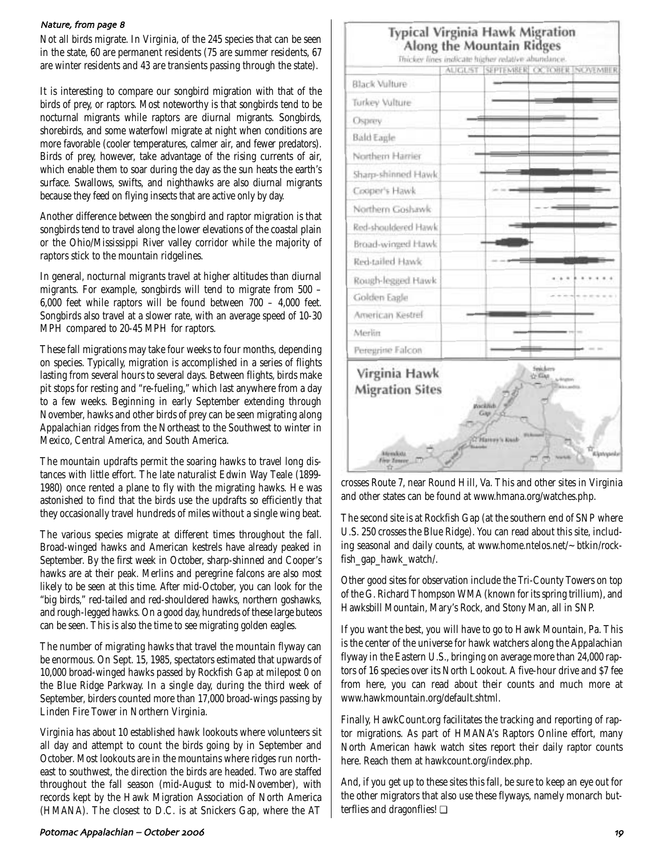#### Nature, from page 8

Not all birds migrate. In Virginia, of the 245 species that can be seen in the state, 60 are permanent residents (75 are summer residents, 67 are winter residents and 43 are transients passing through the state).

It is interesting to compare our songbird migration with that of the birds of prey, or raptors. Most noteworthy is that songbirds tend to be nocturnal migrants while raptors are diurnal migrants. Songbirds, shorebirds, and some waterfowl migrate at night when conditions are more favorable (cooler temperatures, calmer air, and fewer predators). Birds of prey, however, take advantage of the rising currents of air, which enable them to soar during the day as the sun heats the earth's surface. Swallows, swifts, and nighthawks are also diurnal migrants because they feed on flying insects that are active only by day.

Another difference between the songbird and raptor migration is that songbirds tend to travel along the lower elevations of the coastal plain or the Ohio/Mississippi River valley corridor while the majority of raptors stick to the mountain ridgelines.

In general, nocturnal migrants travel at higher altitudes than diurnal migrants. For example, songbirds will tend to migrate from 500 – 6,000 feet while raptors will be found between 700 – 4,000 feet. Songbirds also travel at a slower rate, with an average speed of 10-30 MPH compared to 20-45 MPH for raptors.

These fall migrations may take four weeks to four months, depending on species. Typically, migration is accomplished in a series of flights lasting from several hours to several days. Between flights, birds make pit stops for resting and "re-fueling," which last anywhere from a day to a few weeks. Beginning in early September extending through November, hawks and other birds of prey can be seen migrating along Appalachian ridges from the Northeast to the Southwest to winter in Mexico, Central America, and South America.

The mountain updrafts permit the soaring hawks to travel long distances with little effort. The late naturalist Edwin Way Teale (1899- 1980) once rented a plane to fly with the migrating hawks. He was astonished to find that the birds use the updrafts so efficiently that they occasionally travel hundreds of miles without a single wing beat.

The various species migrate at different times throughout the fall. Broad-winged hawks and American kestrels have already peaked in September. By the first week in October, sharp-shinned and Cooper's hawks are at their peak. Merlins and peregrine falcons are also most likely to be seen at this time. After mid-October, you can look for the "big birds," red-tailed and red-shouldered hawks, northern goshawks, and rough-legged hawks. On a good day, hundreds of these large buteos can be seen. This is also the time to see migrating golden eagles.

The number of migrating hawks that travel the mountain flyway can be enormous. On Sept. 15, 1985, spectators estimated that upwards of 10,000 broad-winged hawks passed by Rockfish Gap at milepost 0 on the Blue Ridge Parkway. In a single day, during the third week of September, birders counted more than 17,000 broad-wings passing by Linden Fire Tower in Northern Virginia.

Virginia has about 10 established hawk lookouts where volunteers sit all day and attempt to count the birds going by in September and October. Most lookouts are in the mountains where ridges run northeast to southwest, the direction the birds are headed. Two are staffed throughout the fall season (mid-August to mid-November), with records kept by the Hawk Migration Association of North America (HMANA). The closest to D.C. is at Snickers Gap, where the AT

## **Typical Virginia Hawk Migration** Along the Mountain Ridges

Thickey lines indicate higher relative abundance.

|                                         | <b>AUGL/ST</b> | SEPTEMBER OCTOBER NOVEMBER |                           |  |
|-----------------------------------------|----------------|----------------------------|---------------------------|--|
| <b>Black Vulture</b>                    |                |                            |                           |  |
| Turkey Vulture                          |                |                            |                           |  |
| Osprey                                  |                |                            |                           |  |
| <b>Bald Eagle</b>                       |                |                            |                           |  |
| Northern Harrier                        |                |                            |                           |  |
| Sharp-shinned Hawk                      |                |                            |                           |  |
| Cooper's Hawk                           |                |                            |                           |  |
| Northern Goshawk                        |                |                            |                           |  |
| Red-shouldered Hawk                     |                |                            |                           |  |
| Broad-winged Hawk                       |                |                            |                           |  |
| Red-tailed Hawk                         |                |                            |                           |  |
| Rough-legged Hawk                       |                |                            |                           |  |
| Golden Eagle                            |                |                            |                           |  |
| American Kestrel                        |                |                            |                           |  |
| Merlin                                  |                |                            |                           |  |
| Peregrine Falcon                        |                |                            |                           |  |
| Virginia Hawk<br><b>Migration Sites</b> |                | Rockrish.<br>Gas           | Spiskers<br><b>C-King</b> |  |

crosses Route 7, near Round Hill, Va. This and other sites in Virginia and other states can be found at www.hmana.org/watches.php.

The second site is at Rockfish Gap (at the southern end of SNP where U.S. 250 crosses the Blue Ridge). You can read about this site, including seasonal and daily counts, at www.home.ntelos.net/ $\sim$  btkin/rockfish\_gap\_hawk\_watch/.

Other good sites for observation include the Tri-County Towers on top of the G. Richard Thompson WMA (known for its spring trillium), and Hawksbill Mountain, Mary's Rock, and Stony Man, all in SNP.

If you want the best, you will have to go to Hawk Mountain, Pa. This is the center of the universe for hawk watchers along the Appalachian flyway in the Eastern U.S., bringing on average more than 24,000 raptors of 16 species over its North Lookout. A five-hour drive and \$7 fee from here, you can read about their counts and much more at www.hawkmountain.org/default.shtml.

Finally, HawkCount.org facilitates the tracking and reporting of raptor migrations. As part of HMANA's Raptors Online effort, many North American hawk watch sites report their daily raptor counts here. Reach them at hawkcount.org/index.php.

And, if you get up to these sites this fall, be sure to keep an eye out for the other migrators that also use these flyways, namely monarch butterflies and dragonflies! ❏

#### Potomac Appalachian – October '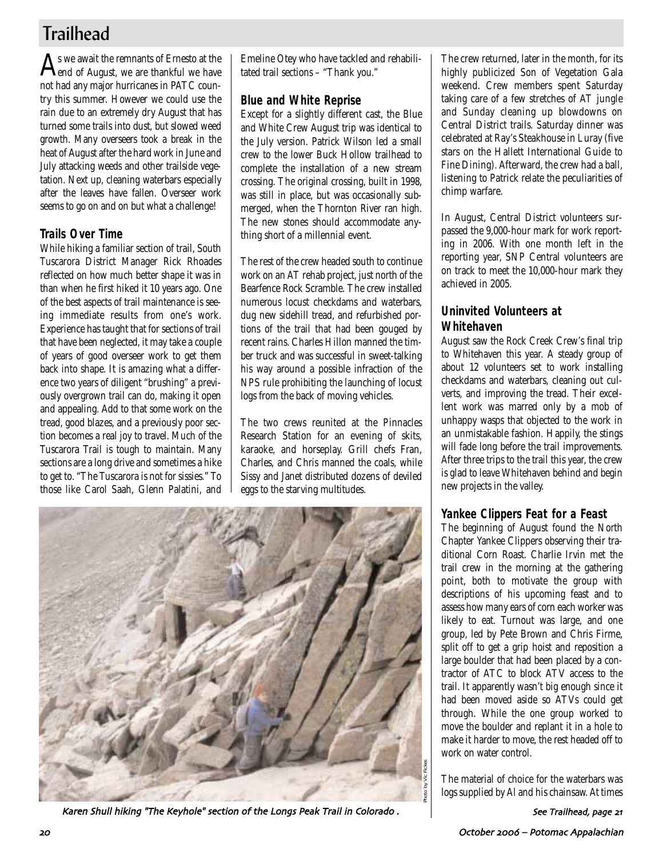# **Trailhead**

 ${\displaystyle \bigwedge}$ s we await the remnants of Ernesto at the<br>end of August, we are thankful we have not had any major hurricanes in PATC country this summer. However we could use the rain due to an extremely dry August that has turned some trails into dust, but slowed weed growth. Many overseers took a break in the heat of August after the hard work in June and July attacking weeds and other trailside vegetation. Next up, cleaning waterbars especially after the leaves have fallen. Overseer work seems to go on and on but what a challenge!

## **Trails Over Time**

While hiking a familiar section of trail, South Tuscarora District Manager Rick Rhoades reflected on how much better shape it was in than when he first hiked it 10 years ago. One of the best aspects of trail maintenance is seeing immediate results from one's work. Experience has taught that for sections of trail that have been neglected, it may take a couple of years of good overseer work to get them back into shape. It is amazing what a difference two years of diligent "brushing" a previously overgrown trail can do, making it open and appealing. Add to that some work on the tread, good blazes, and a previously poor section becomes a real joy to travel. Much of the Tuscarora Trail is tough to maintain. Many sections are a long drive and sometimes a hike to get to. "The Tuscarora is not for sissies." To those like Carol Saah, Glenn Palatini, and Emeline Otey who have tackled and rehabilitated trail sections – "Thank you."

# **Blue and White Reprise**

Except for a slightly different cast, the Blue and White Crew August trip was identical to the July version. Patrick Wilson led a small crew to the lower Buck Hollow trailhead to complete the installation of a new stream crossing. The original crossing, built in 1998, was still in place, but was occasionally submerged, when the Thornton River ran high. The new stones should accommodate anything short of a millennial event.

The rest of the crew headed south to continue work on an AT rehab project, just north of the Bearfence Rock Scramble. The crew installed numerous locust checkdams and waterbars, dug new sidehill tread, and refurbished portions of the trail that had been gouged by recent rains. Charles Hillon manned the timber truck and was successful in sweet-talking his way around a possible infraction of the NPS rule prohibiting the launching of locust logs from the back of moving vehicles.

The two crews reunited at the Pinnacles Research Station for an evening of skits, karaoke, and horseplay. Grill chefs Fran, Charles, and Chris manned the coals, while Sissy and Janet distributed dozens of deviled eggs to the starving multitudes.



Karen Shull hiking "The Keyhole" section of the Longs Peak Trail in Colorado.

The crew returned, later in the month, for its highly publicized Son of Vegetation Gala weekend. Crew members spent Saturday taking care of a few stretches of AT jungle and Sunday cleaning up blowdowns on Central District trails. Saturday dinner was celebrated at Ray's Steakhouse in Luray (five stars on the Hallett International Guide to Fine Dining). Afterward, the crew had a ball, listening to Patrick relate the peculiarities of chimp warfare.

In August, Central District volunteers surpassed the 9,000-hour mark for work reporting in 2006. With one month left in the reporting year, SNP Central volunteers are on track to meet the 10,000-hour mark they achieved in 2005.

# **Uninvited Volunteers at Whitehaven**

August saw the Rock Creek Crew's final trip to Whitehaven this year. A steady group of about 12 volunteers set to work installing checkdams and waterbars, cleaning out culverts, and improving the tread. Their excellent work was marred only by a mob of unhappy wasps that objected to the work in an unmistakable fashion. Happily, the stings will fade long before the trail improvements. After three trips to the trail this year, the crew is glad to leave Whitehaven behind and begin new projects in the valley.

## **Yankee Clippers Feat for a Feast**

The beginning of August found the North Chapter Yankee Clippers observing their traditional Corn Roast. Charlie Irvin met the trail crew in the morning at the gathering point, both to motivate the group with descriptions of his upcoming feast and to assess how many ears of corn each worker was likely to eat. Turnout was large, and one group, led by Pete Brown and Chris Firme, split off to get a grip hoist and reposition a large boulder that had been placed by a contractor of ATC to block ATV access to the trail. It apparently wasn't big enough since it had been moved aside so ATVs could get through. While the one group worked to move the boulder and replant it in a hole to make it harder to move, the rest headed off to work on water control.

The material of choice for the waterbars was logs supplied by Al and his chainsaw. At times

See Trailhead, page 21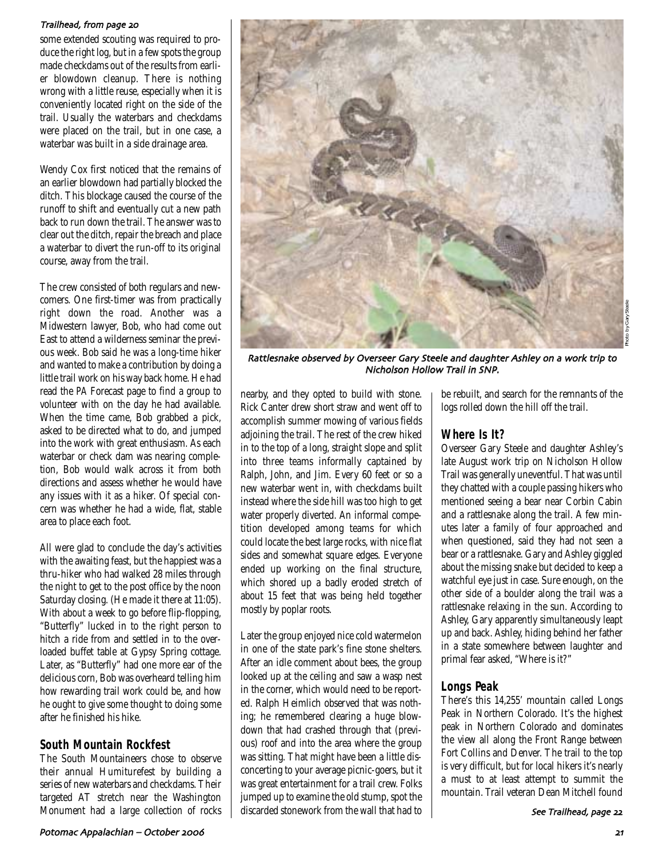#### Trailhead, from page 20

some extended scouting was required to produce the right log, but in a few spots the group made checkdams out of the results from earlier blowdown cleanup. There is nothing wrong with a little reuse, especially when it is conveniently located right on the side of the trail. Usually the waterbars and checkdams were placed on the trail, but in one case, a waterbar was built in a side drainage area.

Wendy Cox first noticed that the remains of an earlier blowdown had partially blocked the ditch. This blockage caused the course of the runoff to shift and eventually cut a new path back to run down the trail. The answer was to clear out the ditch, repair the breach and place a waterbar to divert the run-off to its original course, away from the trail.

The crew consisted of both regulars and newcomers. One first-timer was from practically right down the road. Another was a Midwestern lawyer, Bob, who had come out East to attend a wilderness seminar the previous week. Bob said he was a long-time hiker and wanted to make a contribution by doing a little trail work on his way back home. He had read the *PA* Forecast page to find a group to volunteer with on the day he had available. When the time came, Bob grabbed a pick, asked to be directed what to do, and jumped into the work with great enthusiasm. As each waterbar or check dam was nearing completion, Bob would walk across it from both directions and assess whether he would have any issues with it as a hiker. Of special concern was whether he had a wide, flat, stable area to place each foot.

All were glad to conclude the day's activities with the awaiting feast, but the happiest was a thru-hiker who had walked 28 miles through the night to get to the post office by the noon Saturday closing. (He made it there at 11:05). With about a week to go before flip-flopping, "Butterfly" lucked in to the right person to hitch a ride from and settled in to the overloaded buffet table at Gypsy Spring cottage. Later, as "Butterfly" had one more ear of the delicious corn, Bob was overheard telling him how rewarding trail work could be, and how he ought to give some thought to doing some after he finished his hike.

### **South Mountain Rockfest**

The South Mountaineers chose to observe their annual Humiturefest by building a series of new waterbars and checkdams. Their targeted AT stretch near the Washington Monument had a large collection of rocks



Rattlesnake observed by Overseer Gary Steele and daughter Ashley on a work trip to Nicholson Hollow Trail in SNP/

nearby, and they opted to build with stone. Rick Canter drew short straw and went off to accomplish summer mowing of various fields adjoining the trail. The rest of the crew hiked in to the top of a long, straight slope and split into three teams informally captained by Ralph, John, and Jim. Every 60 feet or so a new waterbar went in, with checkdams built instead where the side hill was too high to get water properly diverted. An informal competition developed among teams for which could locate the best large rocks, with nice flat sides and somewhat square edges. Everyone ended up working on the final structure, which shored up a badly eroded stretch of about 15 feet that was being held together mostly by poplar roots.

Later the group enjoyed nice cold watermelon in one of the state park's fine stone shelters. After an idle comment about bees, the group looked up at the ceiling and saw a wasp nest in the corner, which would need to be reported. Ralph Heimlich observed that was nothing; he remembered clearing a huge blowdown that had crashed through that (previous) roof and into the area where the group was sitting. That might have been a little disconcerting to your average picnic-goers, but it was great entertainment for a trail crew. Folks jumped up to examine the old stump, spot the discarded stonework from the wall that had to be rebuilt, and search for the remnants of the logs rolled down the hill off the trail.

## **Where Is It?**

Overseer Gary Steele and daughter Ashley's late August work trip on Nicholson Hollow Trail was generally uneventful. That was until they chatted with a couple passing hikers who mentioned seeing a bear near Corbin Cabin and a rattlesnake along the trail. A few minutes later a family of four approached and when questioned, said they had not seen a bear or a rattlesnake. Gary and Ashley giggled about the missing snake but decided to keep a watchful eye just in case. Sure enough, on the other side of a boulder along the trail was a rattlesnake relaxing in the sun. According to Ashley, Gary apparently simultaneously leapt up and back. Ashley, hiding behind her father in a state somewhere between laughter and primal fear asked, "Where is it?"

## **Longs Peak**

There's this 14,255' mountain called Longs Peak in Northern Colorado. It's the highest peak in Northern Colorado and dominates the view all along the Front Range between Fort Collins and Denver. The trail to the top is very difficult, but for local hikers it's nearly a must to at least attempt to summit the mountain. Trail veteran Dean Mitchell found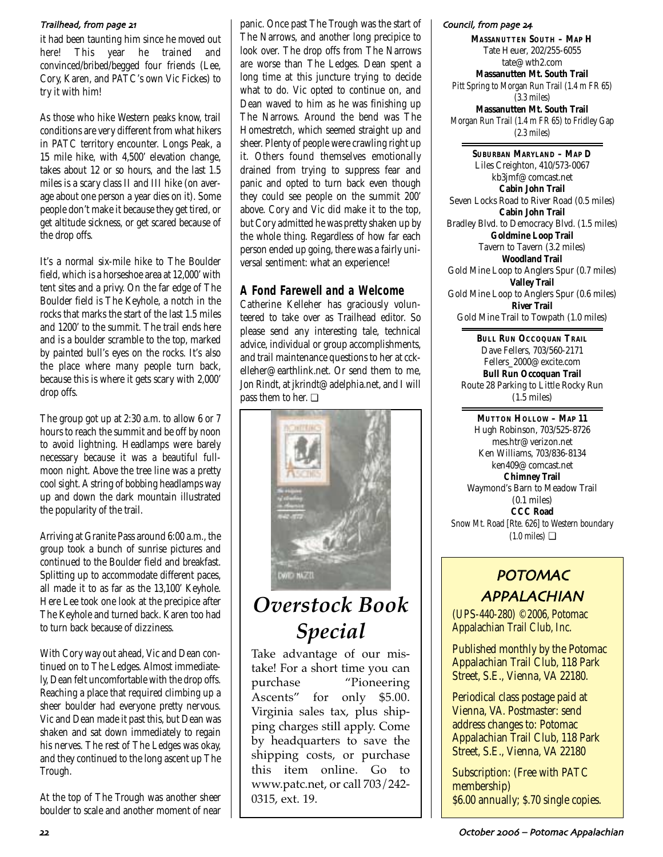#### Trailhead, from page 21

it had been taunting him since he moved out here! This year he trained and convinced/bribed/begged four friends (Lee, Cory, Karen, and PATC's own Vic Fickes) to try it with him!

As those who hike Western peaks know, trail conditions are very different from what hikers in PATC territory encounter. Longs Peak, a 15 mile hike, with 4,500' elevation change, takes about 12 or so hours, and the last 1.5 miles is a scary class II and III hike (on average about one person a year dies on it). Some people don't make it because they get tired, or get altitude sickness, or get scared because of the drop offs.

It's a normal six-mile hike to The Boulder field, which is a horseshoe area at 12,000' with tent sites and a privy. On the far edge of The Boulder field is The Keyhole, a notch in the rocks that marks the start of the last 1.5 miles and 1200' to the summit. The trail ends here and is a boulder scramble to the top, marked by painted bull's eyes on the rocks. It's also the place where many people turn back, because this is where it gets scary with 2,000' drop offs.

The group got up at 2:30 a.m. to allow 6 or 7 hours to reach the summit and be off by noon to avoid lightning. Headlamps were barely necessary because it was a beautiful fullmoon night. Above the tree line was a pretty cool sight. A string of bobbing headlamps way up and down the dark mountain illustrated the popularity of the trail.

Arriving at Granite Pass around 6:00 a.m., the group took a bunch of sunrise pictures and continued to the Boulder field and breakfast. Splitting up to accommodate different paces, all made it to as far as the 13,100' Keyhole. Here Lee took one look at the precipice after The Keyhole and turned back. Karen too had to turn back because of dizziness.

With Cory way out ahead, Vic and Dean continued on to The Ledges. Almost immediately, Dean felt uncomfortable with the drop offs. Reaching a place that required climbing up a sheer boulder had everyone pretty nervous. Vic and Dean made it past this, but Dean was shaken and sat down immediately to regain his nerves. The rest of The Ledges was okay, and they continued to the long ascent up The Trough.

At the top of The Trough was another sheer boulder to scale and another moment of near

panic. Once past The Trough was the start of The Narrows, and another long precipice to look over. The drop offs from The Narrows are worse than The Ledges. Dean spent a long time at this juncture trying to decide what to do. Vic opted to continue on, and Dean waved to him as he was finishing up The Narrows. Around the bend was The Homestretch, which seemed straight up and sheer. Plenty of people were crawling right up it. Others found themselves emotionally drained from trying to suppress fear and panic and opted to turn back even though they could see people on the summit 200' above. Cory and Vic did make it to the top, but Cory admitted he was pretty shaken up by the whole thing. Regardless of how far each person ended up going, there was a fairly universal sentiment: what an experience!

## **A Fond Farewell and a Welcome**

Catherine Kelleher has graciously volunteered to take over as Trailhead editor. So please send any interesting tale, technical advice, individual or group accomplishments, and trail maintenance questions to her at cckelleher@earthlink.net. Or send them to me, Jon Rindt, at jkrindt@adelphia.net, and I will pass them to her. ❏



# *Overstock Book Special*

Take advantage of our mistake! For a short time you can purchase "Pioneering Ascents" for only \$5.00. Virginia sales tax, plus shipping charges still apply. Come by headquarters to save the shipping costs, or purchase this item online. Go to www.patc.net, or call 703/242- 0315, ext. 19.

#### Council, from page 24

**MASSANUTTEN SOUTH – MAP H** Tate Heuer, 202/255-6055 tate@wth2.com **Massanutten Mt. South Trail** Pitt Spring to Morgan Run Trail (1.4 m FR 65) (3.3 miles) **Massanutten Mt. South Trail** Morgan Run Trail (1.4 m FR 65) to Fridley Gap (2.3 miles)

**SUBURBAN MARYLAND – MAP D** Liles Creighton, 410/573-0067 kb3jmf@comcast.net **Cabin John Trail** Seven Locks Road to River Road (0.5 miles) **Cabin John Trail** Bradley Blvd. to Democracy Blvd. (1.5 miles) **Goldmine Loop Trail** Tavern to Tavern (3.2 miles) **Woodland Trail** Gold Mine Loop to Anglers Spur (0.7 miles) **Valley Trail** Gold Mine Loop to Anglers Spur (0.6 miles) **River Trail** Gold Mine Trail to Towpath (1.0 miles)

**BULL RUN OCCOQUAN TRAIL** Dave Fellers, 703/560-2171 Fellers\_2000@excite.com **Bull Run Occoquan Trail** Route 28 Parking to Little Rocky Run (1.5 miles)

**MUTTON HOLLOW – MAP 11** Hugh Robinson, 703/525-8726 mes.htr@verizon.net Ken Williams, 703/836-8134 ken409@comcast.net **Chimney Trail** Waymond's Barn to Meadow Trail (0.1 miles) **CCC Road** Snow Mt. Road [Rte. 626] to Western boundary  $(1.0 \text{ miles})$ 

# POTOMAC APPALACHIAN

(UPS-440-280) ©2006, Potomac Appalachian Trail Club, Inc.

Published monthly by the Potomac Appalachian Trail Club, 118 Park Street, S.E., Vienna, VA 22180.

Periodical class postage paid at Vienna, VA. Postmaster: send address changes to: Potomac Appalachian Trail Club, 118 Park Street, S.E., Vienna, VA 22180

Subscription: (Free with PATC membership) \$6.00 annually; \$.70 single copies.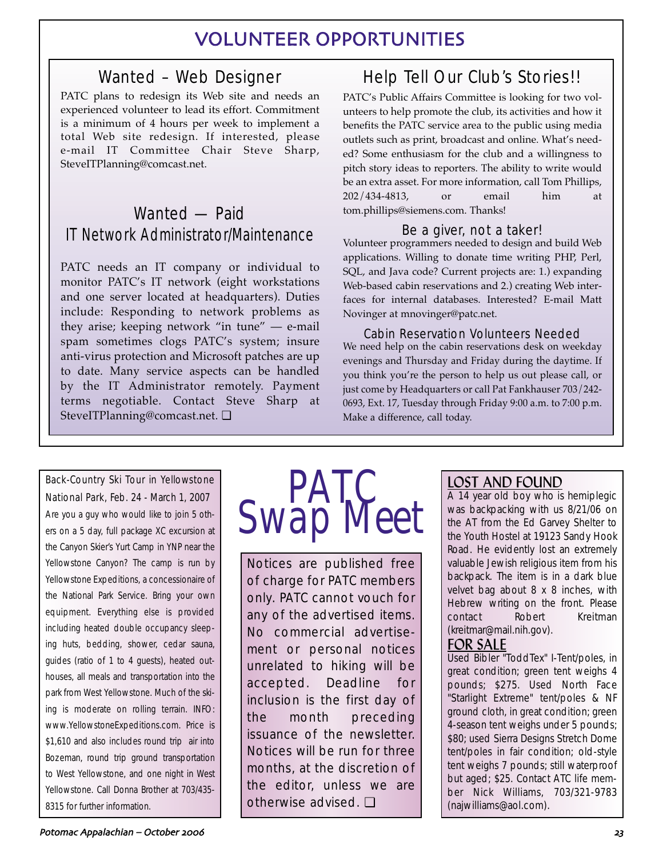# VOLUNTEER OPPORTUNITIES

# Wanted – Web Designer

PATC plans to redesign its Web site and needs an experienced volunteer to lead its effort. Commitment is a minimum of 4 hours per week to implement a total Web site redesign. If interested, please e-mail IT Committee Chair Steve Sharp, SteveITPlanning@comcast.net.

# Wanted — Paid IT Network Administrator/Maintenance

PATC needs an IT company or individual to monitor PATC's IT network (eight workstations and one server located at headquarters). Duties include: Responding to network problems as they arise; keeping network "in tune" — e-mail spam sometimes clogs PATC's system; insure anti-virus protection and Microsoft patches are up to date. Many service aspects can be handled by the IT Administrator remotely. Payment terms negotiable. Contact Steve Sharp at SteveITPlanning@comcast.net. ❏

# Help Tell Our Club's Stories!!

PATC's Public Affairs Committee is looking for two volunteers to help promote the club, its activities and how it benefits the PATC service area to the public using media outlets such as print, broadcast and online. What's needed? Some enthusiasm for the club and a willingness to pitch story ideas to reporters. The ability to write would be an extra asset. For more information, call Tom Phillips, 202/434-4813, or email him at tom.phillips@siemens.com. Thanks!

## Be a giver, not a taker!

Volunteer programmers needed to design and build Web applications. Willing to donate time writing PHP, Perl, SQL, and Java code? Current projects are: 1.) expanding Web-based cabin reservations and 2.) creating Web interfaces for internal databases. Interested? E-mail Matt Novinger at mnovinger@patc.net.

## Cabin Reservation Volunteers Needed

We need help on the cabin reservations desk on weekday evenings and Thursday and Friday during the daytime. If you think you're the person to help us out please call, or just come by Headquarters or call Pat Fankhauser 703/242- 0693, Ext. 17, Tuesday through Friday 9:00 a.m. to 7:00 p.m. Make a difference, call today.

### Back-Country Ski Tour in Yellowstone

National Park, Feb. 24 - March 1, 2007 Are you a guy who would like to join 5 others on a 5 day, full package XC excursion at the Canyon Skier's Yurt Camp in YNP near the Yellowstone Canyon? The camp is run by Yellowstone Expeditions, a concessionaire of the National Park Service. Bring your own equipment. Everything else is provided including heated double occupancy sleeping huts, bedding, shower, cedar sauna, guides (ratio of 1 to 4 guests), heated outhouses, all meals and transportation into the park from West Yellowstone. Much of the skiing is moderate on rolling terrain. INFO: www.YellowstoneExpeditions.com. Price is \$1,610 and also includes round trip air into Bozeman, round trip ground transportation to West Yellowstone, and one night in West Yellowstone. Call Donna Brother at 703/435- 8315 for further information.



Notices are published free of charge for PATC members only. PATC cannot vouch for any of the advertised items. No commercial advertisement or personal notices unrelated to hiking will be accepted. Deadline for inclusion is the first day of the month preceding issuance of the newsletter. Notices will be run for three months, at the discretion of the editor, unless we are otherwise advised. ❏

# LOST AND FOUND

A 14 year old boy who is hemiplegic was backpacking with us 8/21/06 on the AT from the Ed Garvey Shelter to the Youth Hostel at 19123 Sandy Hook Road. He evidently lost an extremely valuable Jewish religious item from his backpack. The item is in a dark blue velvet bag about 8 x 8 inches, with Hebrew writing on the front. Please contact Robert Kreitman (kreitmar@mail.nih.gov).

# FOR SALE

Used Bibler "ToddTex" I-Tent/poles, in great condition; green tent weighs 4 pounds; \$275. Used North Face "Starlight Extreme" tent/poles & NF ground cloth, in great condition; green 4-season tent weighs under 5 pounds; \$80; used Sierra Designs Stretch Dome tent/poles in fair condition; old-style tent weighs 7 pounds; still waterproof but aged; \$25. Contact ATC life member Nick Williams, 703/321-9783 (najwilliams@aol.com).